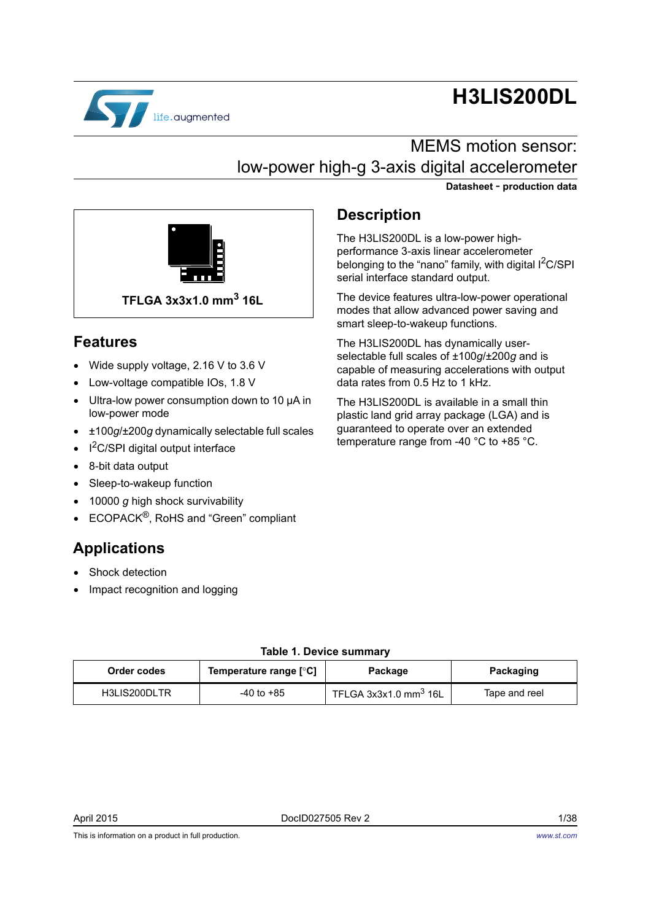

# **H3LIS200DL**

## MEMS motion sensor: low-power high-g 3-axis digital accelerometer

**Datasheet** - **production data**



### **Features**

- Wide supply voltage, 2.16 V to 3.6 V
- Low-voltage compatible IOs, 1.8 V
- Ultra-low power consumption down to 10 μA in low-power mode
- ±100*g*/±200*g* dynamically selectable full scales
- $I^2C/SPI$  digital output interface
- 8-bit data output
- Sleep-to-wakeup function
- 10000 *g* high shock survivability
- ECOPACK®, RoHS and "Green" compliant

### **Applications**

- Shock detection
- Impact recognition and logging

### **Description**

The H3LIS200DL is a low-power highperformance 3-axis linear accelerometer belonging to the "nano" family, with digital  $1^2C/SPI$ serial interface standard output.

The device features ultra-low-power operational modes that allow advanced power saving and smart sleep-to-wakeup functions.

The H3LIS200DL has dynamically userselectable full scales of ±100*g*/±200*g* and is capable of measuring accelerations with output data rates from 0.5 Hz to 1 kHz.

The H3LIS200DL is available in a small thin plastic land grid array package (LGA) and is guaranteed to operate over an extended temperature range from -40 °C to +85 °C.

<span id="page-0-0"></span>

| Order codes  | Temperature range [°C] | Package                           | Packaging     |
|--------------|------------------------|-----------------------------------|---------------|
| H3LIS200DLTR | $-40$ to $+85$         | TFLGA 3x3x1.0 mm <sup>3</sup> 16L | Tape and reel |

### **Table 1. Device summary**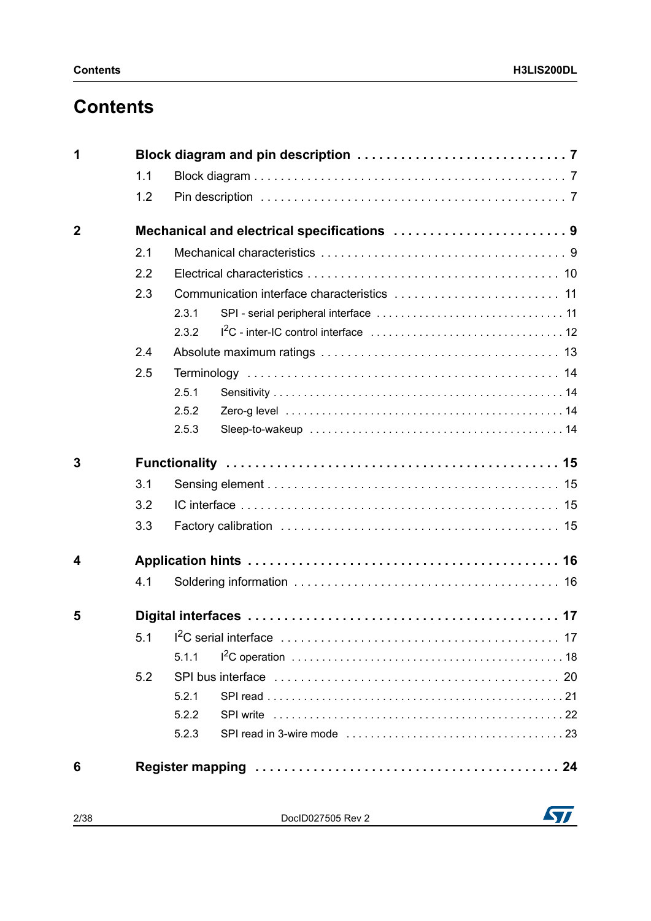## **Contents**

| 1           |     |                                            |
|-------------|-----|--------------------------------------------|
|             | 1.1 |                                            |
|             | 1.2 |                                            |
| $\mathbf 2$ |     | Mechanical and electrical specifications 9 |
|             | 2.1 |                                            |
|             | 2.2 |                                            |
|             | 2.3 |                                            |
|             |     | 2.3.1                                      |
|             |     | 2.3.2                                      |
|             | 2.4 |                                            |
|             | 2.5 |                                            |
|             |     | 2.5.1                                      |
|             |     | 2.5.2                                      |
|             |     | 2.5.3                                      |
| 3           |     |                                            |
|             | 3.1 |                                            |
|             | 3.2 |                                            |
|             | 3.3 |                                            |
| 4           |     |                                            |
|             | 4.1 |                                            |
| 5           |     |                                            |
|             |     |                                            |
|             |     | 5.1.1                                      |
|             | 5.2 |                                            |
|             |     | 5.2.1                                      |
|             |     | 5.2.2                                      |
|             |     | 5.2.3                                      |
| 6           |     |                                            |

2/38 DocID027505 Rev 2

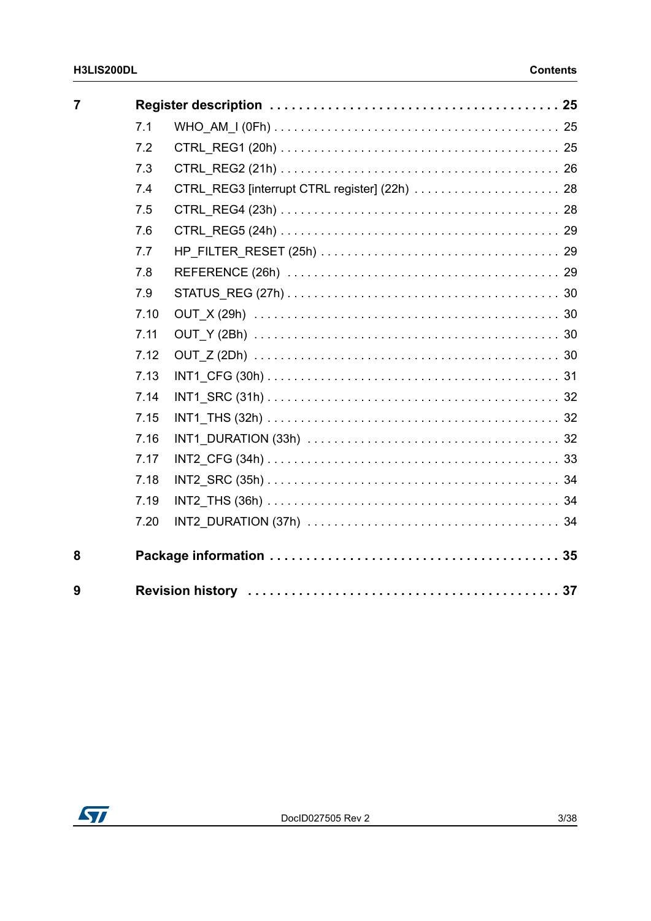| $\overline{7}$ |      |                                               |  |
|----------------|------|-----------------------------------------------|--|
|                | 7.1  |                                               |  |
|                | 7.2  |                                               |  |
|                | 7.3  |                                               |  |
|                | 7.4  | CTRL_REG3 [interrupt CTRL register] (22h)  28 |  |
|                | 7.5  |                                               |  |
|                | 7.6  |                                               |  |
|                | 7.7  |                                               |  |
|                | 7.8  |                                               |  |
|                | 7.9  |                                               |  |
|                | 7.10 |                                               |  |
|                | 7.11 |                                               |  |
|                | 7.12 |                                               |  |
|                | 7.13 |                                               |  |
|                | 7.14 |                                               |  |
|                | 7.15 |                                               |  |
|                | 7.16 |                                               |  |
|                | 7.17 |                                               |  |
|                | 7.18 |                                               |  |
|                | 7.19 |                                               |  |
|                | 7.20 |                                               |  |
| 8              |      |                                               |  |
| 9              |      |                                               |  |

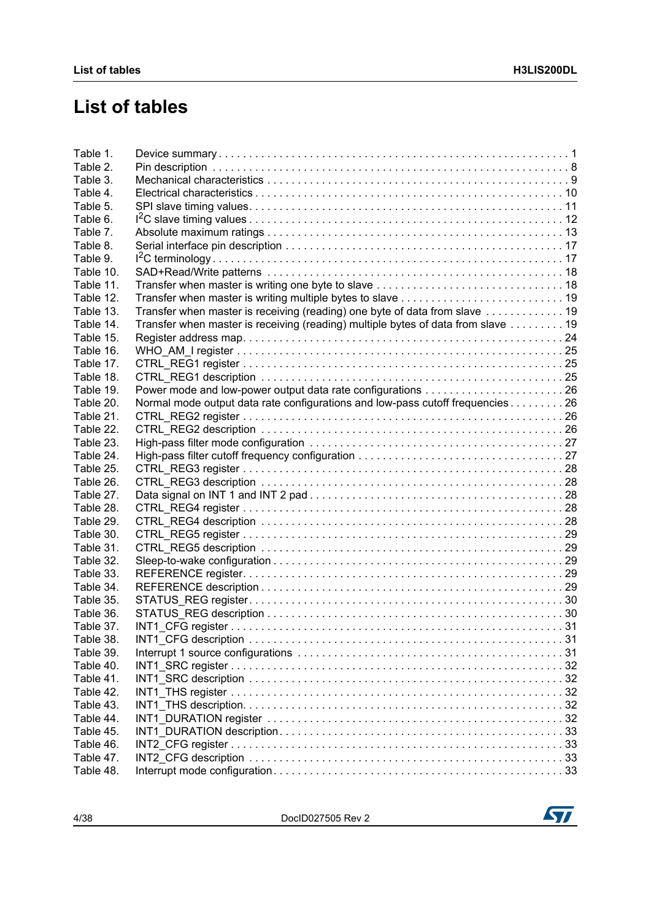## **List of tables**

| Table 1.  |                                                                                  |  |
|-----------|----------------------------------------------------------------------------------|--|
| Table 2.  |                                                                                  |  |
| Table 3.  |                                                                                  |  |
| Table 4.  |                                                                                  |  |
| Table 5.  |                                                                                  |  |
| Table 6.  |                                                                                  |  |
| Table 7.  |                                                                                  |  |
| Table 8.  |                                                                                  |  |
| Table 9.  |                                                                                  |  |
| Table 10. |                                                                                  |  |
| Table 11. |                                                                                  |  |
| Table 12. |                                                                                  |  |
| Table 13. | Transfer when master is receiving (reading) one byte of data from slave 19       |  |
| Table 14. | Transfer when master is receiving (reading) multiple bytes of data from slave 19 |  |
| Table 15. |                                                                                  |  |
| Table 16. |                                                                                  |  |
| Table 17. |                                                                                  |  |
| Table 18. |                                                                                  |  |
| Table 19. |                                                                                  |  |
|           |                                                                                  |  |
| Table 20. | Normal mode output data rate configurations and low-pass cutoff frequencies 26   |  |
| Table 21. |                                                                                  |  |
| Table 22. |                                                                                  |  |
| Table 23. |                                                                                  |  |
| Table 24. |                                                                                  |  |
| Table 25. |                                                                                  |  |
| Table 26. |                                                                                  |  |
| Table 27. |                                                                                  |  |
| Table 28. |                                                                                  |  |
| Table 29. |                                                                                  |  |
| Table 30. |                                                                                  |  |
| Table 31. |                                                                                  |  |
| Table 32. |                                                                                  |  |
| Table 33. |                                                                                  |  |
| Table 34. |                                                                                  |  |
| Table 35. |                                                                                  |  |
| Table 36. |                                                                                  |  |
| Table 37. |                                                                                  |  |
| Table 38. |                                                                                  |  |
| Table 39. |                                                                                  |  |
| Table 40. |                                                                                  |  |
| Table 41. |                                                                                  |  |
| Table 42. |                                                                                  |  |
| Table 43. |                                                                                  |  |
| Table 44. |                                                                                  |  |
| Table 45. |                                                                                  |  |
| Table 46. |                                                                                  |  |
| Table 47. |                                                                                  |  |
| Table 48. |                                                                                  |  |
|           |                                                                                  |  |

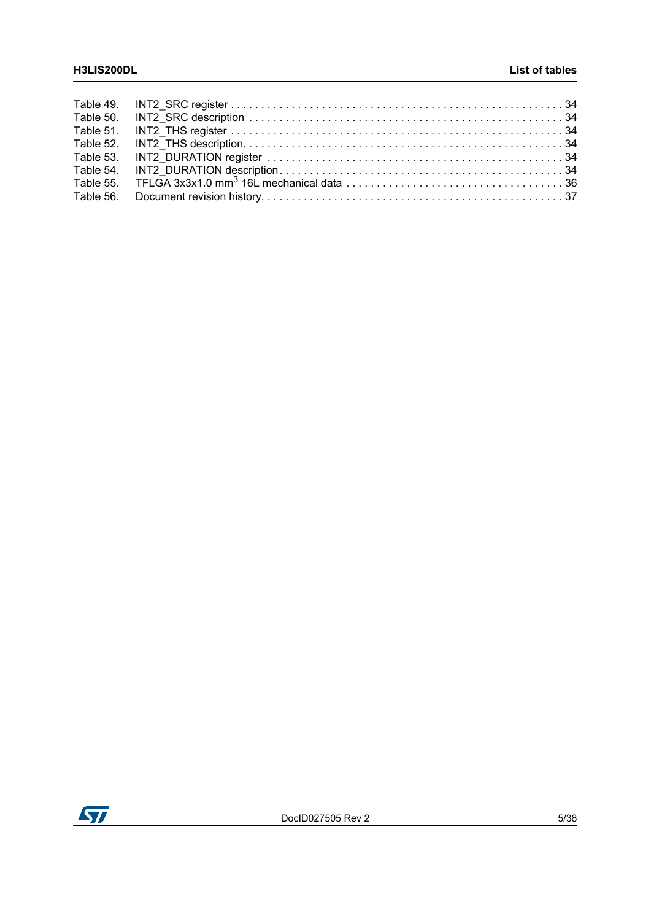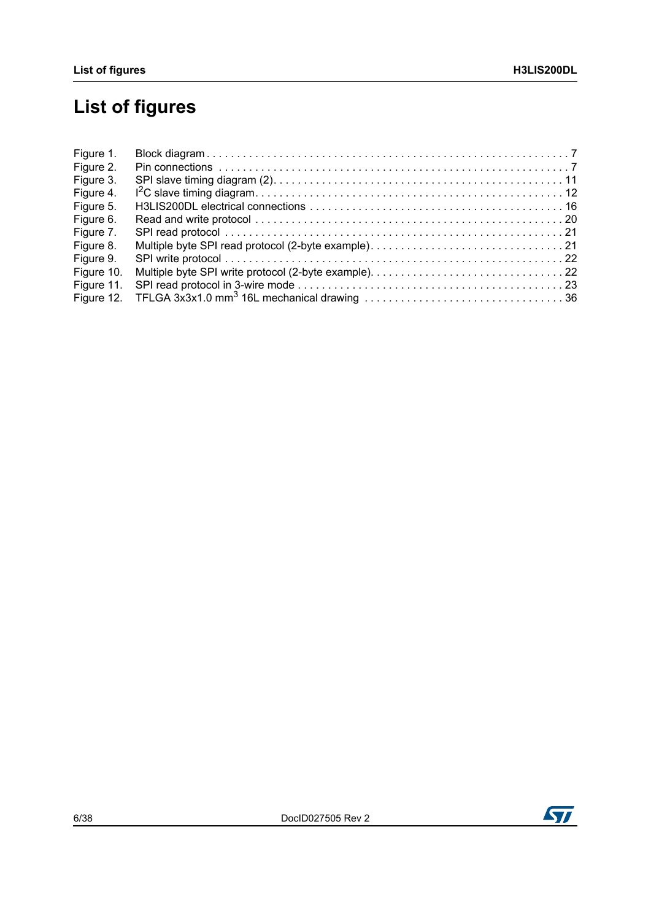# **List of figures**

| Figure 1.  |  |
|------------|--|
| Figure 2.  |  |
| Figure 3.  |  |
| Figure 4.  |  |
| Figure 5.  |  |
| Figure 6.  |  |
| Figure 7.  |  |
| Figure 8.  |  |
| Figure 9.  |  |
| Figure 10. |  |
| Figure 11. |  |
| Figure 12. |  |

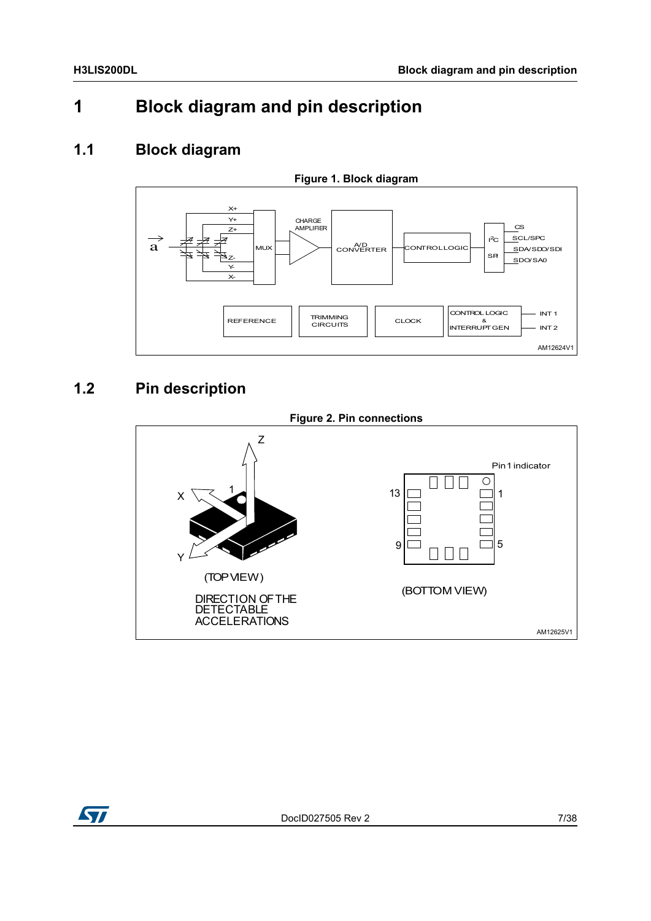## <span id="page-6-0"></span>**1 Block diagram and pin description**

### <span id="page-6-1"></span>**1.1 Block diagram**

<span id="page-6-3"></span>

### <span id="page-6-2"></span>**1.2 Pin description**

<span id="page-6-4"></span>

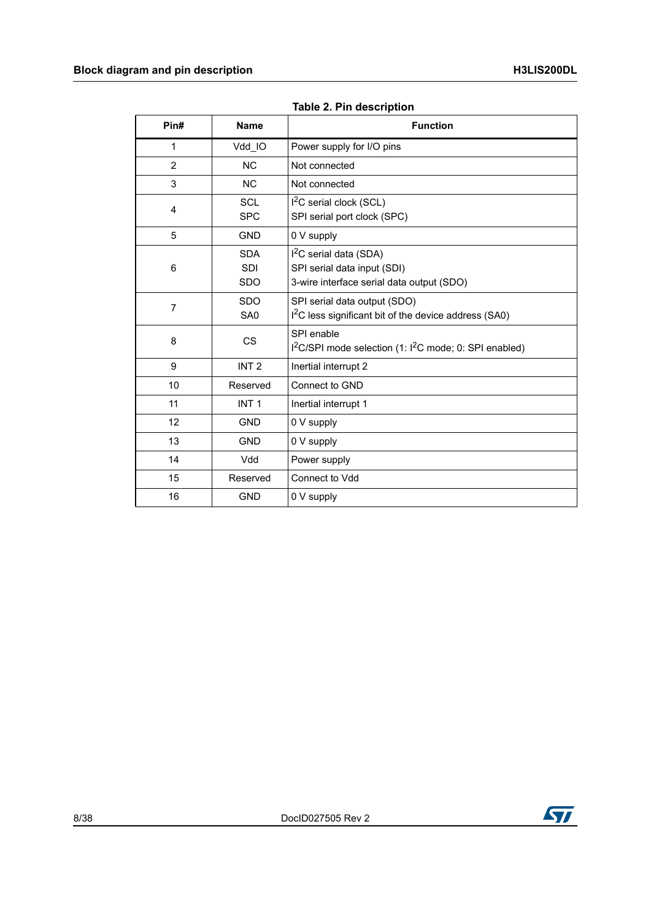<span id="page-7-0"></span>

| Pin#           | <b>Name</b>                            | <b>Function</b>                                                                                     |
|----------------|----------------------------------------|-----------------------------------------------------------------------------------------------------|
| 1              | Vdd IO                                 | Power supply for I/O pins                                                                           |
| $\overline{2}$ | <b>NC</b>                              | Not connected                                                                                       |
| 3              | <b>NC</b>                              | Not connected                                                                                       |
| $\overline{4}$ | SCL<br><b>SPC</b>                      | $I2C$ serial clock (SCL)<br>SPI serial port clock (SPC)                                             |
| 5              | <b>GND</b>                             | 0 V supply                                                                                          |
| 6              | <b>SDA</b><br><b>SDI</b><br><b>SDO</b> | $I2C$ serial data (SDA)<br>SPI serial data input (SDI)<br>3-wire interface serial data output (SDO) |
| $\overline{7}$ | <b>SDO</b><br>SA0                      | SPI serial data output (SDO)<br>I <sup>2</sup> C less significant bit of the device address (SA0)   |
| 8              | <b>CS</b>                              | SPI enable<br>I <sup>2</sup> C/SPI mode selection (1: I <sup>2</sup> C mode; 0: SPI enabled)        |
| 9              | INT <sub>2</sub>                       | Inertial interrupt 2                                                                                |
| 10             | Reserved                               | Connect to GND                                                                                      |
| 11             | INT <sub>1</sub>                       | Inertial interrupt 1                                                                                |
| 12             | <b>GND</b>                             | 0 V supply                                                                                          |
| 13             | <b>GND</b>                             | 0 V supply                                                                                          |
| 14             | Vdd                                    | Power supply                                                                                        |
| 15             | Reserved                               | Connect to Vdd                                                                                      |
| 16             | <b>GND</b>                             | 0 V supply                                                                                          |

**Table 2. Pin description** 

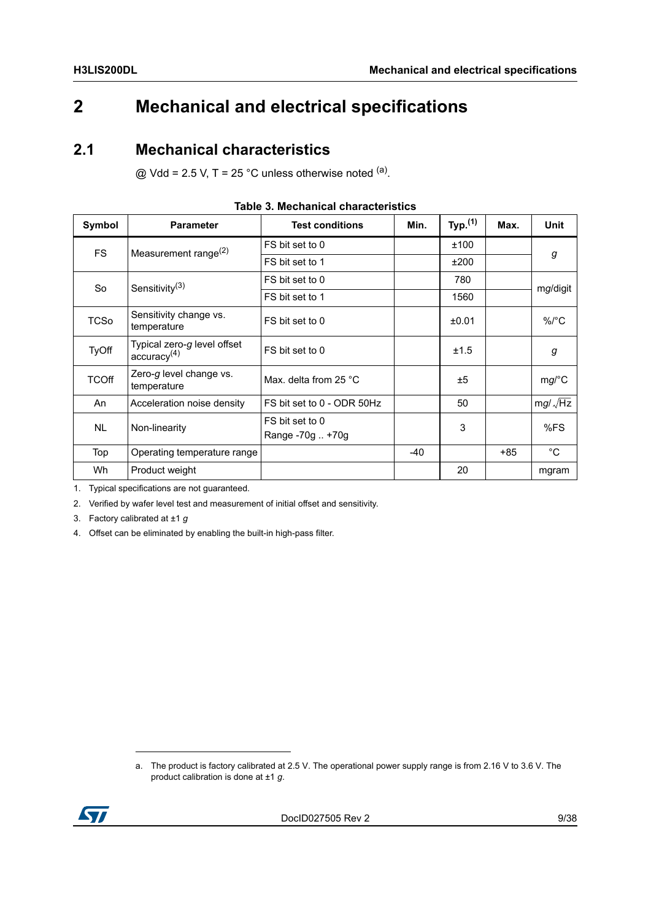## <span id="page-8-0"></span>**2 Mechanical and electrical specifications**

### <span id="page-8-1"></span>**2.1 Mechanical characteristics**

 $@$  Vdd = 2.5 V, T = 25 °C unless otherwise noted  $<sup>(a)</sup>$ .</sup>

<span id="page-8-2"></span>

| Symbol       | <b>Parameter</b>                                       | <b>Test conditions</b>              | Min.  | Typ. <sup>(1)</sup> | Max.  | Unit           |  |
|--------------|--------------------------------------------------------|-------------------------------------|-------|---------------------|-------|----------------|--|
| <b>FS</b>    | Measurement range $(2)$                                | FS bit set to 0                     |       | ±100                |       | g              |  |
|              |                                                        | FS bit set to 1                     |       | ±200                |       |                |  |
| So           | Sensitivity <sup>(3)</sup>                             | FS bit set to 0                     |       | 780                 |       |                |  |
|              |                                                        | FS bit set to 1                     |       | 1560                |       | mg/digit       |  |
| <b>TCSo</b>  | Sensitivity change vs.<br>temperature                  | FS bit set to 0                     |       | ±0.01               |       | $\%$ /°C       |  |
| TyOff        | Typical zero-g level offset<br>accuracy <sup>(4)</sup> | FS bit set to 0                     |       | ±1.5                |       | g              |  |
| <b>TCOff</b> | Zero-g level change vs.<br>temperature                 | Max. delta from 25 °C               |       | ±5                  |       | mg/C           |  |
| An           | Acceleration noise density                             | FS bit set to 0 - ODR 50Hz          |       | 50                  |       | $mg/\sqrt{Hz}$ |  |
| <b>NL</b>    | Non-linearity                                          | FS bit set to 0<br>Range -70g  +70g |       | 3                   |       | %FS            |  |
| Top          | Operating temperature range                            |                                     | $-40$ |                     | $+85$ | $^{\circ}C$    |  |
| Wh           | Product weight                                         |                                     |       | 20                  |       | mgram          |  |

#### **Table 3. Mechanical characteristics**

1. Typical specifications are not guaranteed.

2. Verified by wafer level test and measurement of initial offset and sensitivity.

3. Factory calibrated at ±1 *g*

4. Offset can be eliminated by enabling the built-in high-pass filter.

a. The product is factory calibrated at 2.5 V. The operational power supply range is from 2.16 V to 3.6 V. The product calibration is done at ±1 *g*.

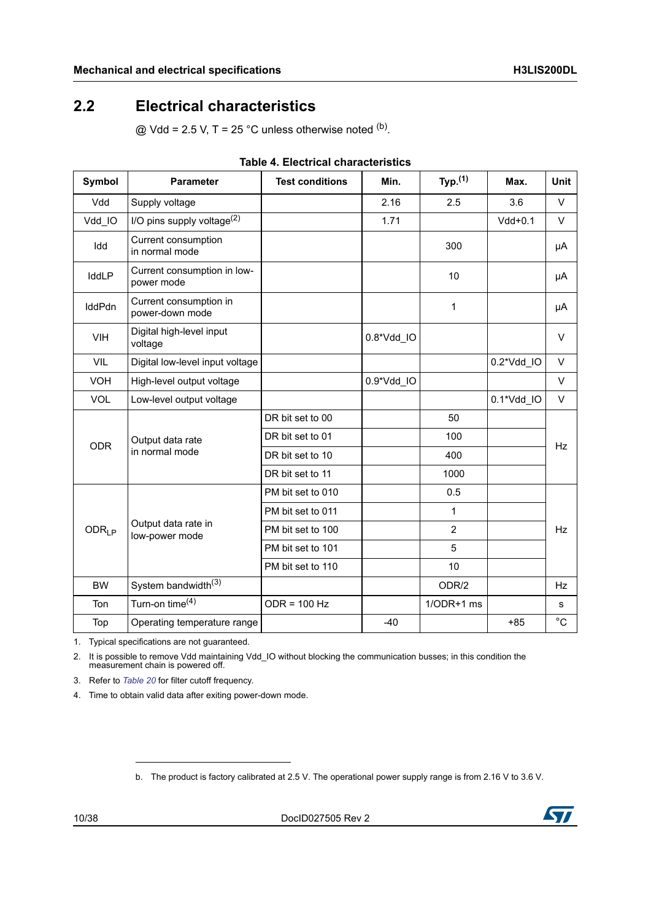### <span id="page-9-0"></span>**2.2 Electrical characteristics**

 $@$  Vdd = 2.5 V, T = 25 °C unless otherwise noted <sup>(b)</sup>.

<span id="page-9-1"></span>

| <b>Symbol</b>     | <b>Parameter</b>                          | <b>Test conditions</b> | Min.       | Typ. <sup>(1)</sup> | Max.       | <b>Unit</b> |
|-------------------|-------------------------------------------|------------------------|------------|---------------------|------------|-------------|
| Vdd               | Supply voltage                            |                        | 2.16       | 2.5                 | 3.6        | $\vee$      |
| Vdd IO            | I/O pins supply voltage <sup>(2)</sup>    |                        | 1.71       |                     | $Vdd+0.1$  | $\vee$      |
| Idd               | Current consumption<br>in normal mode     |                        |            | 300                 |            | μA          |
| IddLP             | Current consumption in low-<br>power mode |                        |            | 10                  |            | μA          |
| IddPdn            | Current consumption in<br>power-down mode |                        |            | 1                   |            | μA          |
| <b>VIH</b>        | Digital high-level input<br>voltage       |                        | 0.8*Vdd_IO |                     |            | $\vee$      |
| VIL               | Digital low-level input voltage           |                        |            |                     | 0.2*Vdd_IO | $\vee$      |
| <b>VOH</b>        | High-level output voltage                 |                        | 0.9*Vdd_IO |                     |            | $\vee$      |
| <b>VOL</b>        | Low-level output voltage                  |                        |            |                     | 0.1*Vdd IO | $\vee$      |
|                   | Output data rate<br>in normal mode        | DR bit set to 00       |            | 50                  |            | <b>Hz</b>   |
| <b>ODR</b>        |                                           | DR bit set to 01       |            | 100                 |            |             |
|                   |                                           | DR bit set to 10       |            | 400                 |            |             |
|                   |                                           | DR bit set to 11       |            | 1000                |            |             |
|                   |                                           | PM bit set to 010      |            | 0.5                 |            |             |
|                   |                                           | PM bit set to 011      |            | 1                   |            |             |
| ODR <sub>LP</sub> | Output data rate in<br>low-power mode     | PM bit set to 100      |            | $\overline{2}$      |            | <b>Hz</b>   |
|                   |                                           | PM bit set to 101      |            | 5                   |            |             |
|                   |                                           | PM bit set to 110      |            | 10                  |            |             |
| <b>BW</b>         | System bandwidth <sup>(3)</sup>           |                        |            | ODR/2               |            | <b>Hz</b>   |
| Ton               | Turn-on time <sup>(4)</sup>               | $ODR = 100 Hz$         |            | $1/ODR+1$ ms        |            | s           |
| Top               | Operating temperature range               |                        | $-40$      |                     | $+85$      | $^{\circ}C$ |

| <b>Table 4. Electrical characteristics</b> |
|--------------------------------------------|
|--------------------------------------------|

1. Typical specifications are not guaranteed.

2. It is possible to remove Vdd maintaining Vdd IO without blocking the communication busses; in this condition the measurement chain is powered off.

3. Refer to *[Table 20](#page-25-2)* for filter cutoff frequency.

4. Time to obtain valid data after exiting power-down mode.

b. The product is factory calibrated at 2.5 V. The operational power supply range is from 2.16 V to 3.6 V.

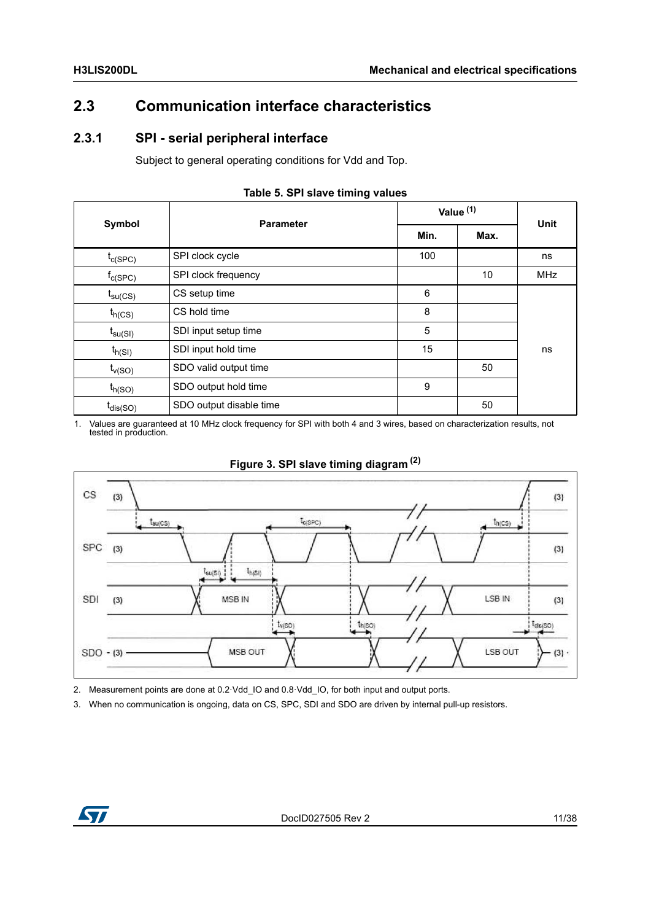### <span id="page-10-0"></span>**2.3 Communication interface characteristics**

### <span id="page-10-1"></span>**2.3.1 SPI - serial peripheral interface**

Subject to general operating conditions for Vdd and Top.

<span id="page-10-2"></span>

| <b>Symbol</b>         |                         |      | Value <sup>(1)</sup> |             |  |
|-----------------------|-------------------------|------|----------------------|-------------|--|
|                       | <b>Parameter</b>        | Min. | Max.                 | <b>Unit</b> |  |
| $t_{c(SPC)}$          | SPI clock cycle         | 100  |                      | ns          |  |
| $f_{C(SPC)}$          | SPI clock frequency     |      | 10                   | <b>MHz</b>  |  |
| $t_{\text{su(CS)}}$   | CS setup time           | 6    |                      |             |  |
| $t_{h(CS)}$           | CS hold time            | 8    |                      |             |  |
| $t_{\mathsf{su(SI)}}$ | SDI input setup time    | 5    |                      |             |  |
| $t_{h(SI)}$           | SDI input hold time     | 15   |                      | ns          |  |
| $t_{v(SO)}$           | SDO valid output time   |      | 50                   |             |  |
| $t_{h(SO)}$           | SDO output hold time    | 9    |                      |             |  |
| $t_{dis(SO)}$         | SDO output disable time |      | 50                   |             |  |

| Table 5. SPI slave timing values |  |  |  |  |
|----------------------------------|--|--|--|--|
|----------------------------------|--|--|--|--|

1. Values are guaranteed at 10 MHz clock frequency for SPI with both 4 and 3 wires, based on characterization results, not tested in production.

<span id="page-10-3"></span>



2. Measurement points are done at 0.2 Vdd\_IO and 0.8 Vdd\_IO, for both input and output ports.

3. When no communication is ongoing, data on CS, SPC, SDI and SDO are driven by internal pull-up resistors.

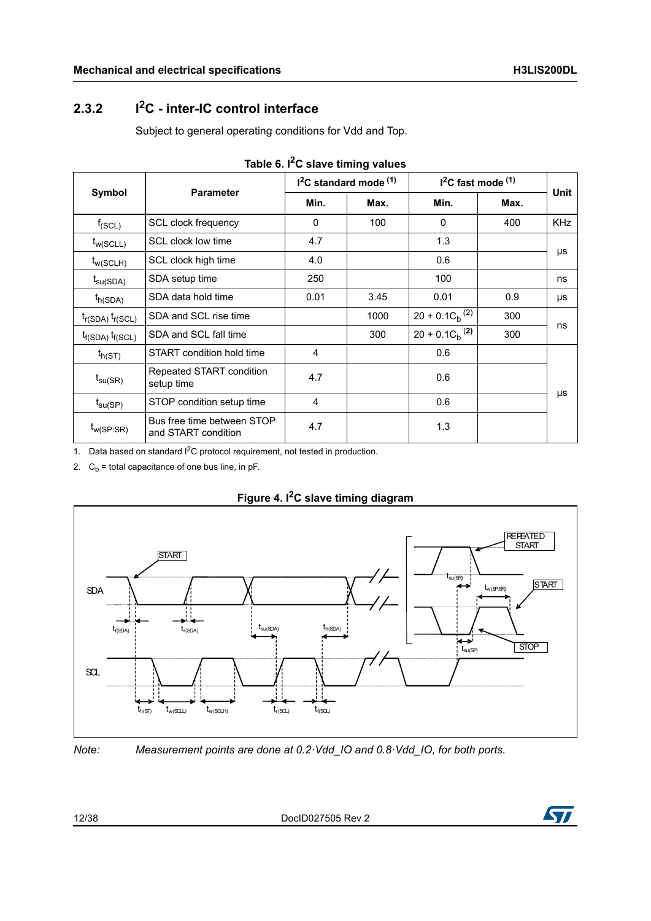### <span id="page-11-0"></span>**2.3.2 I2C - inter-IC control interface**

Subject to general operating conditions for Vdd and Top.

<span id="page-11-1"></span>

|                         | <b>Parameter</b>                                  |              | $I2C$ standard mode $(1)$ | $12C$ fast mode $(1)$ | <b>Unit</b> |            |
|-------------------------|---------------------------------------------------|--------------|---------------------------|-----------------------|-------------|------------|
| Symbol                  |                                                   | Min.<br>Max. |                           | Min.                  | Max.        |            |
| $f_{(SCL)}$             | <b>SCL clock frequency</b>                        | $\mathbf{0}$ | 100                       | $\Omega$              | 400         | <b>KHz</b> |
| $t_{w(SCLL)}$           | SCL clock low time                                | 4.7          |                           | 1.3                   |             |            |
| $t_{w(SCLH)}$           | SCL clock high time                               | 4.0          |                           | 0.6                   |             | μs         |
| $t_{\text{SU(SDA)}}$    | SDA setup time                                    | 250          |                           | 100                   |             | ns         |
| $t_{h(SDA)}$            | SDA data hold time                                | 0.01         | 3.45                      | 0.01                  | 0.9         | μs         |
| $t_{r(SDA)} t_{r(SCL)}$ | SDA and SCL rise time                             |              | 1000                      | $20 + 0.1 C_h^{(2)}$  | 300         | ns         |
| $t_{f(SDA)} t_{f(SCL)}$ | SDA and SCL fall time                             |              | 300                       | $20 + 0.1 C_h^{(2)}$  | 300         |            |
| $t_{h(ST)}$             | START condition hold time                         | 4            |                           | 0.6                   |             |            |
| $t_{\text{su(SR)}}$     | Repeated START condition<br>setup time            | 4.7          |                           | 0.6                   |             |            |
| $t_{\text{SU(SP)}}$     | STOP condition setup time                         | 4            |                           | 0.6                   |             | μs         |
| $t_{w(SP:SR)}$          | Bus free time between STOP<br>and START condition | 4.7          |                           | 1.3                   |             |            |

1. Data based on standard I<sup>2</sup>C protocol requirement, not tested in production.

2.  $C_b$  = total capacitance of one bus line, in pF.

<span id="page-11-2"></span>



*Note: Measurement points are done at 0.2·Vdd\_IO and 0.8·Vdd\_IO, for both ports.*

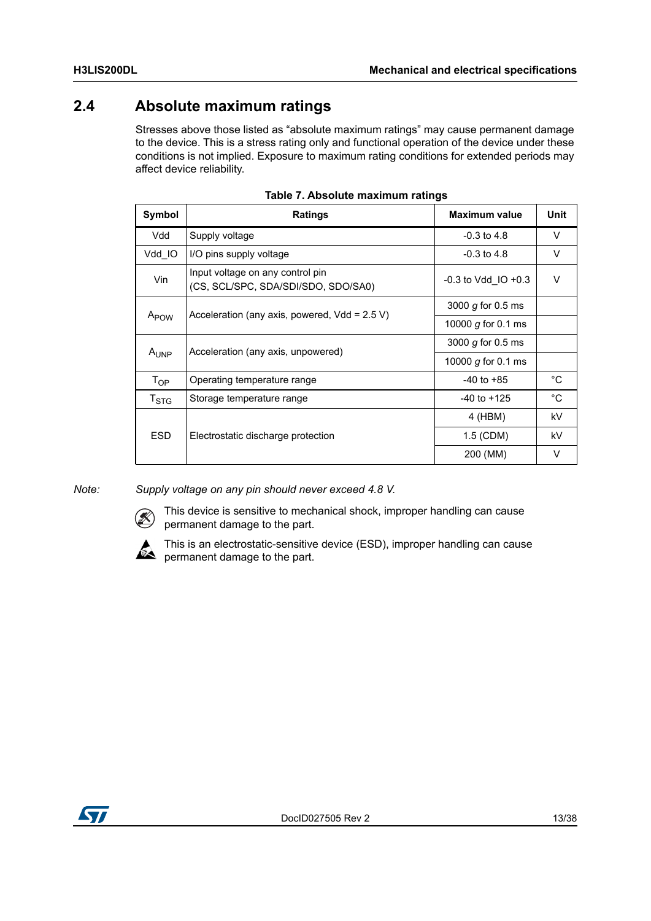### <span id="page-12-0"></span>**2.4 Absolute maximum ratings**

Stresses above those listed as "absolute maximum ratings" may cause permanent damage to the device. This is a stress rating only and functional operation of the device under these conditions is not implied. Exposure to maximum rating conditions for extended periods may affect device reliability.

<span id="page-12-1"></span>

| Symbol                    | Ratings                                                                 | <b>Maximum value</b>    | Unit         |
|---------------------------|-------------------------------------------------------------------------|-------------------------|--------------|
| Vdd                       | Supply voltage                                                          | $-0.3$ to 4.8           | V            |
| Vdd IO                    | I/O pins supply voltage                                                 | $-0.3$ to 4.8           | V            |
| Vin                       | Input voltage on any control pin<br>(CS, SCL/SPC, SDA/SDI/SDO, SDO/SA0) | $-0.3$ to Vdd IO $+0.3$ | $\vee$       |
|                           | Acceleration (any axis, powered, $Vdd = 2.5 V$ )                        | 3000 $g$ for 0.5 ms     |              |
| A <sub>POW</sub>          |                                                                         | 10000 g for 0.1 ms      |              |
| A <sub>UNP</sub>          | Acceleration (any axis, unpowered)                                      | 3000 g for 0.5 ms       |              |
|                           |                                                                         | 10000 g for 0.1 ms      |              |
| $T_{OP}$                  | Operating temperature range                                             | $-40$ to $+85$          | $^{\circ}$ C |
| $\mathsf{T}_{\text{STG}}$ | Storage temperature range                                               | $-40$ to $+125$         | °C           |
|                           |                                                                         | 4 (HBM)                 | kV           |
| <b>ESD</b>                | Electrostatic discharge protection                                      | 1.5 (CDM)               | kV           |
|                           |                                                                         | 200 (MM)                | V            |

*Note: Supply voltage on any pin should never exceed 4.8 V.*



This device is sensitive to mechanical shock, improper handling can cause permanent damage to the part.



This is an electrostatic-sensitive device (ESD), improper handling can cause permanent damage to the part.

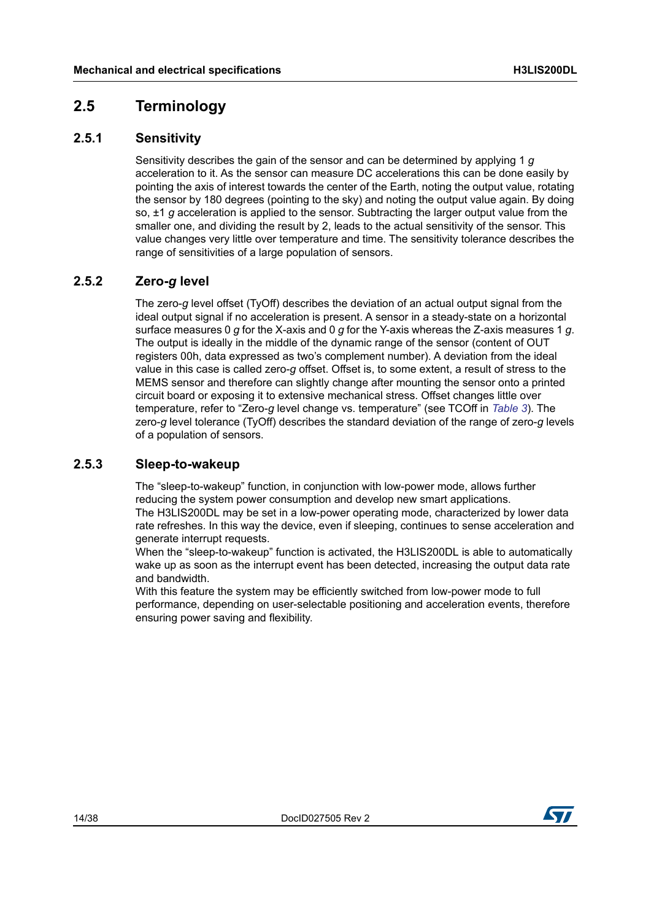### <span id="page-13-0"></span>**2.5 Terminology**

### <span id="page-13-1"></span>**2.5.1 Sensitivity**

Sensitivity describes the gain of the sensor and can be determined by applying 1 *g* acceleration to it. As the sensor can measure DC accelerations this can be done easily by pointing the axis of interest towards the center of the Earth, noting the output value, rotating the sensor by 180 degrees (pointing to the sky) and noting the output value again. By doing so, ±1 *g* acceleration is applied to the sensor. Subtracting the larger output value from the smaller one, and dividing the result by 2, leads to the actual sensitivity of the sensor. This value changes very little over temperature and time. The sensitivity tolerance describes the range of sensitivities of a large population of sensors.

### <span id="page-13-2"></span>**2.5.2 Zero-***g* **level**

The zero-*g* level offset (TyOff) describes the deviation of an actual output signal from the ideal output signal if no acceleration is present. A sensor in a steady-state on a horizontal surface measures 0 *g* for the X-axis and 0 *g* for the Y-axis whereas the Z-axis measures 1 *g*. The output is ideally in the middle of the dynamic range of the sensor (content of OUT registers 00h, data expressed as two's complement number). A deviation from the ideal value in this case is called zero-*g* offset. Offset is, to some extent, a result of stress to the MEMS sensor and therefore can slightly change after mounting the sensor onto a printed circuit board or exposing it to extensive mechanical stress. Offset changes little over temperature, refer to "Zero-*g* level change vs. temperature" (see TCOff in *[Table 3](#page-8-2)*). The zero-*g* level tolerance (TyOff) describes the standard deviation of the range of zero-*g* levels of a population of sensors.

### <span id="page-13-3"></span>**2.5.3 Sleep-to-wakeup**

The "sleep-to-wakeup" function, in conjunction with low-power mode, allows further reducing the system power consumption and develop new smart applications. The H3LIS200DL may be set in a low-power operating mode, characterized by lower data rate refreshes. In this way the device, even if sleeping, continues to sense acceleration and generate interrupt requests.

When the "sleep-to-wakeup" function is activated, the H3LIS200DL is able to automatically wake up as soon as the interrupt event has been detected, increasing the output data rate and bandwidth.

With this feature the system may be efficiently switched from low-power mode to full performance, depending on user-selectable positioning and acceleration events, therefore ensuring power saving and flexibility.

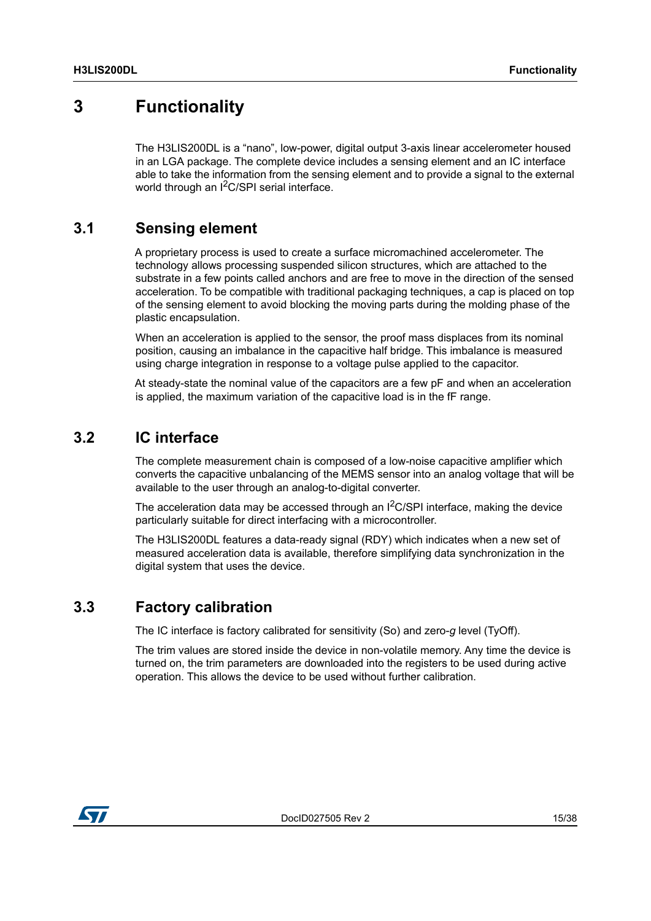## <span id="page-14-0"></span>**3 Functionality**

The H3LIS200DL is a "nano", low-power, digital output 3-axis linear accelerometer housed in an LGA package. The complete device includes a sensing element and an IC interface able to take the information from the sensing element and to provide a signal to the external world through an I<sup>2</sup>C/SPI serial interface.

### <span id="page-14-1"></span>**3.1 Sensing element**

A proprietary process is used to create a surface micromachined accelerometer. The technology allows processing suspended silicon structures, which are attached to the substrate in a few points called anchors and are free to move in the direction of the sensed acceleration. To be compatible with traditional packaging techniques, a cap is placed on top of the sensing element to avoid blocking the moving parts during the molding phase of the plastic encapsulation.

When an acceleration is applied to the sensor, the proof mass displaces from its nominal position, causing an imbalance in the capacitive half bridge. This imbalance is measured using charge integration in response to a voltage pulse applied to the capacitor.

At steady-state the nominal value of the capacitors are a few pF and when an acceleration is applied, the maximum variation of the capacitive load is in the fF range.

### <span id="page-14-2"></span>**3.2 IC interface**

The complete measurement chain is composed of a low-noise capacitive amplifier which converts the capacitive unbalancing of the MEMS sensor into an analog voltage that will be available to the user through an analog-to-digital converter.

The acceleration data may be accessed through an  $I^2C/SPI$  interface, making the device particularly suitable for direct interfacing with a microcontroller.

The H3LIS200DL features a data-ready signal (RDY) which indicates when a new set of measured acceleration data is available, therefore simplifying data synchronization in the digital system that uses the device.

### <span id="page-14-3"></span>**3.3 Factory calibration**

The IC interface is factory calibrated for sensitivity (So) and zero-*g* level (TyOff).

The trim values are stored inside the device in non-volatile memory. Any time the device is turned on, the trim parameters are downloaded into the registers to be used during active operation. This allows the device to be used without further calibration.

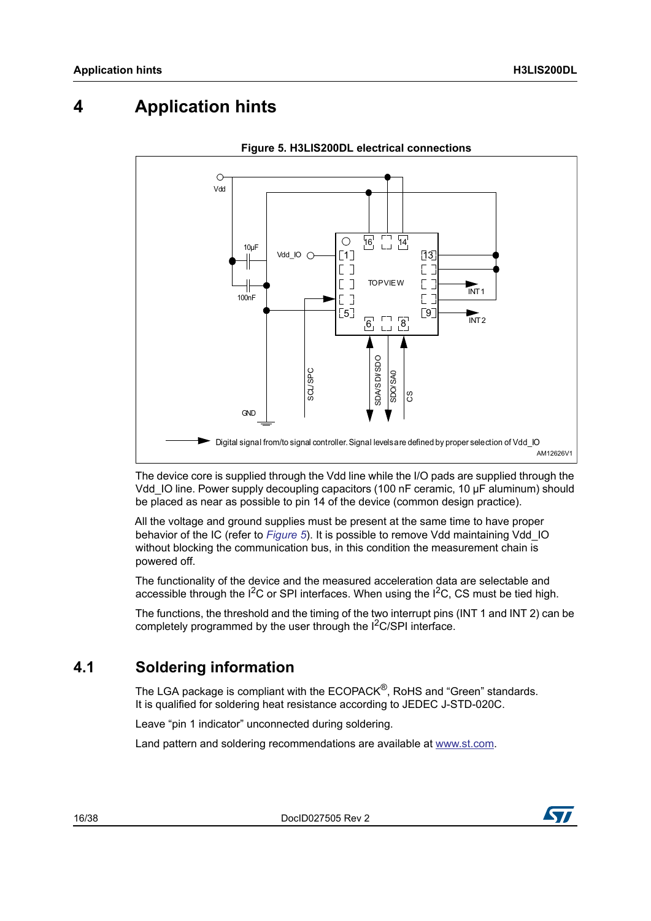## <span id="page-15-0"></span>**4 Application hints**

<span id="page-15-2"></span>

**Figure 5. H3LIS200DL electrical connections**

The device core is supplied through the Vdd line while the I/O pads are supplied through the Vdd\_IO line. Power supply decoupling capacitors (100 nF ceramic, 10 μF aluminum) should be placed as near as possible to pin 14 of the device (common design practice).

All the voltage and ground supplies must be present at the same time to have proper behavior of the IC (refer to *[Figure 5](#page-15-2)*). It is possible to remove Vdd maintaining Vdd\_IO without blocking the communication bus, in this condition the measurement chain is powered off.

The functionality of the device and the measured acceleration data are selectable and accessible through the  $1^2C$  or SPI interfaces. When using the  $1^2C$ , CS must be tied high.

The functions, the threshold and the timing of the two interrupt pins (INT 1 and INT 2) can be completely programmed by the user through the  $1<sup>2</sup>C/SPI$  interface.

### <span id="page-15-1"></span>**4.1 Soldering information**

The LGA package is compliant with the ECOPACK<sup>®</sup>, RoHS and "Green" standards. It is qualified for soldering heat resistance according to JEDEC J-STD-020C.

Leave "pin 1 indicator" unconnected during soldering.

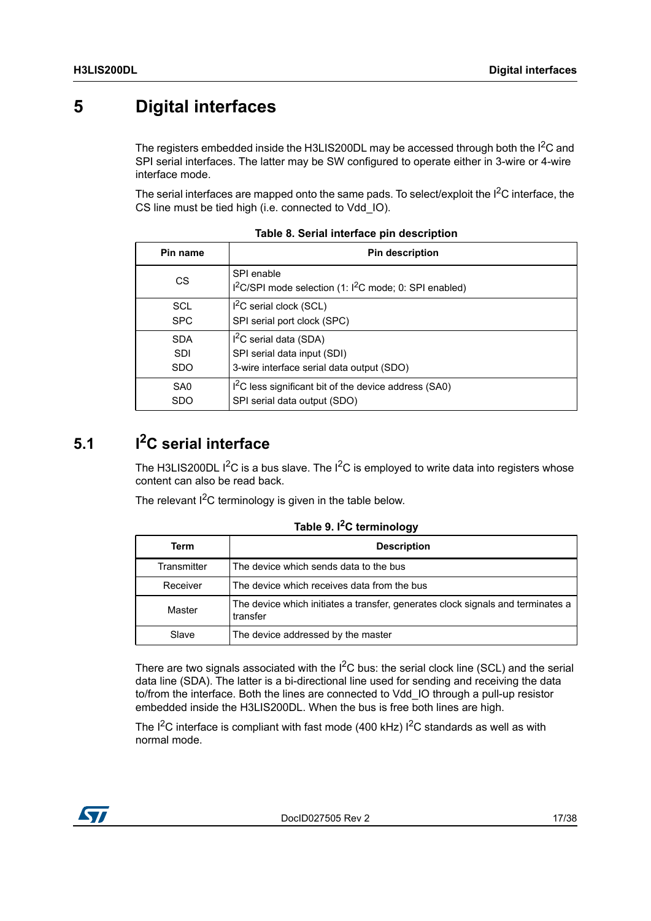## <span id="page-16-0"></span>**5 Digital interfaces**

The registers embedded inside the H3LIS200DL may be accessed through both the  $I<sup>2</sup>C$  and SPI serial interfaces. The latter may be SW configured to operate either in 3-wire or 4-wire interface mode.

The serial interfaces are mapped onto the same pads. To select/exploit the  $1<sup>2</sup>C$  interface, the CS line must be tied high (i.e. connected to Vdd\_IO).

<span id="page-16-2"></span>

| Pin name        | <b>Pin description</b>                                                                       |
|-----------------|----------------------------------------------------------------------------------------------|
| <b>CS</b>       | SPI enable<br>I <sup>2</sup> C/SPI mode selection (1: I <sup>2</sup> C mode; 0: SPI enabled) |
| <b>SCL</b>      | $I2C$ serial clock (SCL)                                                                     |
| <b>SPC</b>      | SPI serial port clock (SPC)                                                                  |
| <b>SDA</b>      | $I2C$ serial data (SDA)                                                                      |
| <b>SDI</b>      | SPI serial data input (SDI)                                                                  |
| <b>SDO</b>      | 3-wire interface serial data output (SDO)                                                    |
| SA <sub>0</sub> | I <sup>2</sup> C less significant bit of the device address (SA0)                            |
| <b>SDO</b>      | SPI serial data output (SDO)                                                                 |

**Table 8. Serial interface pin description**

## <span id="page-16-1"></span>**5.1 I2C serial interface**

The H3LIS200DL  $I^2C$  is a bus slave. The  $I^2C$  is employed to write data into registers whose content can also be read back.

The relevant  $I^2C$  terminology is given in the table below.

<span id="page-16-3"></span>

| Term        | <b>Description</b>                                                                          |  |  |  |  |  |  |  |  |  |  |  |
|-------------|---------------------------------------------------------------------------------------------|--|--|--|--|--|--|--|--|--|--|--|
| Transmitter | The device which sends data to the bus                                                      |  |  |  |  |  |  |  |  |  |  |  |
| Receiver    | The device which receives data from the bus                                                 |  |  |  |  |  |  |  |  |  |  |  |
| Master      | The device which initiates a transfer, generates clock signals and terminates a<br>transfer |  |  |  |  |  |  |  |  |  |  |  |
| Slave       | The device addressed by the master                                                          |  |  |  |  |  |  |  |  |  |  |  |

**Table 9. I2C terminology**

There are two signals associated with the  $I^2C$  bus: the serial clock line (SCL) and the serial data line (SDA). The latter is a bi-directional line used for sending and receiving the data to/from the interface. Both the lines are connected to Vdd\_IO through a pull-up resistor embedded inside the H3LIS200DL. When the bus is free both lines are high.

The  $I^2C$  interface is compliant with fast mode (400 kHz)  $I^2C$  standards as well as with normal mode.

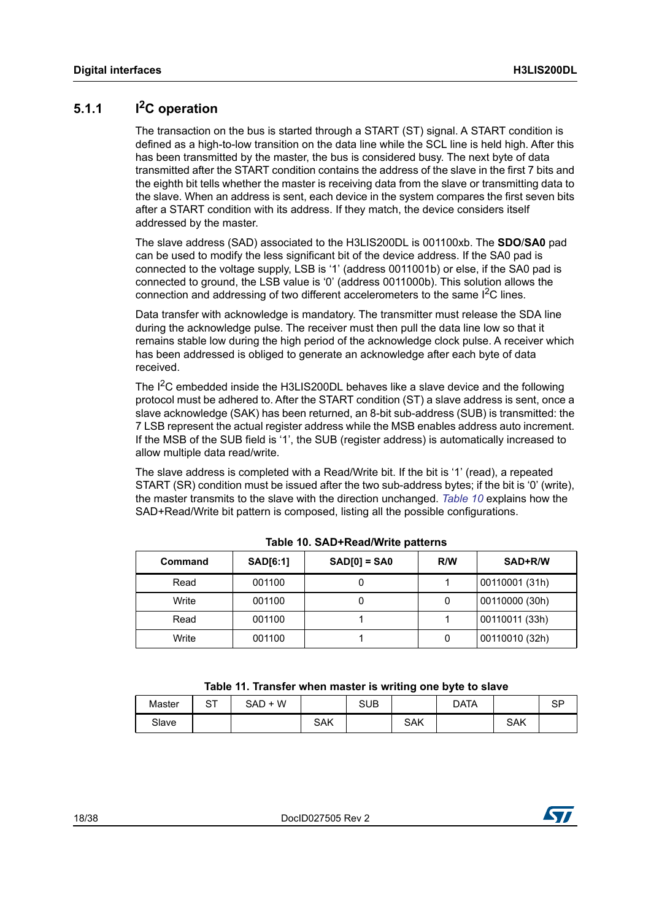### <span id="page-17-0"></span>**5.1.1 I2C operation**

The transaction on the bus is started through a START (ST) signal. A START condition is defined as a high-to-low transition on the data line while the SCL line is held high. After this has been transmitted by the master, the bus is considered busy. The next byte of data transmitted after the START condition contains the address of the slave in the first 7 bits and the eighth bit tells whether the master is receiving data from the slave or transmitting data to the slave. When an address is sent, each device in the system compares the first seven bits after a START condition with its address. If they match, the device considers itself addressed by the master.

The slave address (SAD) associated to the H3LIS200DL is 001100xb. The **SDO**/**SA0** pad can be used to modify the less significant bit of the device address. If the SA0 pad is connected to the voltage supply, LSB is '1' (address 0011001b) or else, if the SA0 pad is connected to ground, the LSB value is '0' (address 0011000b). This solution allows the connection and addressing of two different accelerometers to the same  ${}^{12}C$  lines.

Data transfer with acknowledge is mandatory. The transmitter must release the SDA line during the acknowledge pulse. The receiver must then pull the data line low so that it remains stable low during the high period of the acknowledge clock pulse. A receiver which has been addressed is obliged to generate an acknowledge after each byte of data received.

The I<sup>2</sup>C embedded inside the H3LIS200DL behaves like a slave device and the following protocol must be adhered to. After the START condition (ST) a slave address is sent, once a slave acknowledge (SAK) has been returned, an 8-bit sub-address (SUB) is transmitted: the 7 LSB represent the actual register address while the MSB enables address auto increment. If the MSB of the SUB field is '1', the SUB (register address) is automatically increased to allow multiple data read/write.

The slave address is completed with a Read/Write bit. If the bit is '1' (read), a repeated START (SR) condition must be issued after the two sub-address bytes; if the bit is '0' (write), the master transmits to the slave with the direction unchanged. *[Table 10](#page-17-1)* explains how the SAD+Read/Write bit pattern is composed, listing all the possible configurations.

<span id="page-17-1"></span>

| Command | <b>SAD[6:1]</b> | $SAD[0] = SAO$ | R/W | SAD+R/W        |  |  |
|---------|-----------------|----------------|-----|----------------|--|--|
| Read    | 001100          |                |     | 00110001 (31h) |  |  |
| Write   | 001100          |                |     | 00110000 (30h) |  |  |
| Read    | 001100          |                |     | 00110011 (33h) |  |  |
| Write   | 001100          |                |     | 00110010 (32h) |  |  |

**Table 10. SAD+Read/Write patterns**

| Table 11. Transfer when master is writing one byte to slave |  |  |
|-------------------------------------------------------------|--|--|
|-------------------------------------------------------------|--|--|

<span id="page-17-2"></span>

| Master | n+<br>ا ب | $+W$<br>SAD |            | <b>SUB</b> |     | <b>DATA</b> |            | <b>QD</b><br>ιب |
|--------|-----------|-------------|------------|------------|-----|-------------|------------|-----------------|
| Slave  |           |             | <b>SAK</b> |            | SAK |             | <b>SAK</b> |                 |

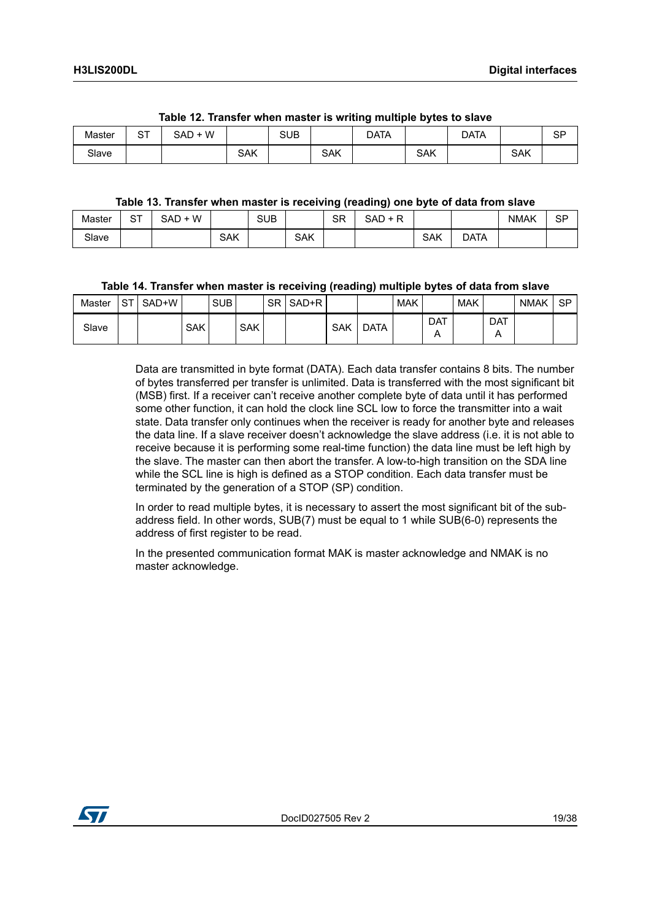<span id="page-18-0"></span>

|        |           | ___<br>____   | _________  | __         | .   | _______<br>. .<br>____<br>___ | __  | .    |            |           |
|--------|-----------|---------------|------------|------------|-----|-------------------------------|-----|------|------------|-----------|
| Master | ∼−<br>. ت | W<br>SAD<br>┶ |            | <b>SUB</b> |     | DATA                          |     | DATA |            | <b>SP</b> |
| Slave  |           |               | <b>SAK</b> |            | SAK |                               | SAK |      | <b>SAK</b> |           |

#### **Table 12. Transfer when master is writing multiple bytes to slave**

#### **Table 13. Transfer when master is receiving (reading) one byte of data from slave**

<span id="page-18-1"></span>

| Master | ∼−<br>ا ت | - W<br>SAD |            | <b>SUB</b> |            | <b>SR</b> | . R<br>SAD<br>- |     |      | <b>NMAK</b> | SP |
|--------|-----------|------------|------------|------------|------------|-----------|-----------------|-----|------|-------------|----|
| Slave  |           |            | <b>SAK</b> |            | <b>SAK</b> |           |                 | SAK | DATA |             |    |

#### **Table 14. Transfer when master is receiving (reading) multiple bytes of data from slave**

<span id="page-18-2"></span>

| Master | <b>QT</b><br>ا ت | SAD+W |            | <b>SUB</b> |            | <b>SR</b> | SAD+R |            |      | <b>MAK</b> |                 | <b>MAK</b> |            | <b>NMAK</b> | <b>SP</b> |
|--------|------------------|-------|------------|------------|------------|-----------|-------|------------|------|------------|-----------------|------------|------------|-------------|-----------|
| Slave  |                  |       | <b>SAK</b> |            | <b>SAK</b> |           |       | <b>SAK</b> | DATA |            | <b>DAT</b><br>¬ |            | <b>DAT</b> |             |           |

Data are transmitted in byte format (DATA). Each data transfer contains 8 bits. The number of bytes transferred per transfer is unlimited. Data is transferred with the most significant bit (MSB) first. If a receiver can't receive another complete byte of data until it has performed some other function, it can hold the clock line SCL low to force the transmitter into a wait state. Data transfer only continues when the receiver is ready for another byte and releases the data line. If a slave receiver doesn't acknowledge the slave address (i.e. it is not able to receive because it is performing some real-time function) the data line must be left high by the slave. The master can then abort the transfer. A low-to-high transition on the SDA line while the SCL line is high is defined as a STOP condition. Each data transfer must be terminated by the generation of a STOP (SP) condition.

In order to read multiple bytes, it is necessary to assert the most significant bit of the subaddress field. In other words, SUB(7) must be equal to 1 while SUB(6-0) represents the address of first register to be read.

In the presented communication format MAK is master acknowledge and NMAK is no master acknowledge.

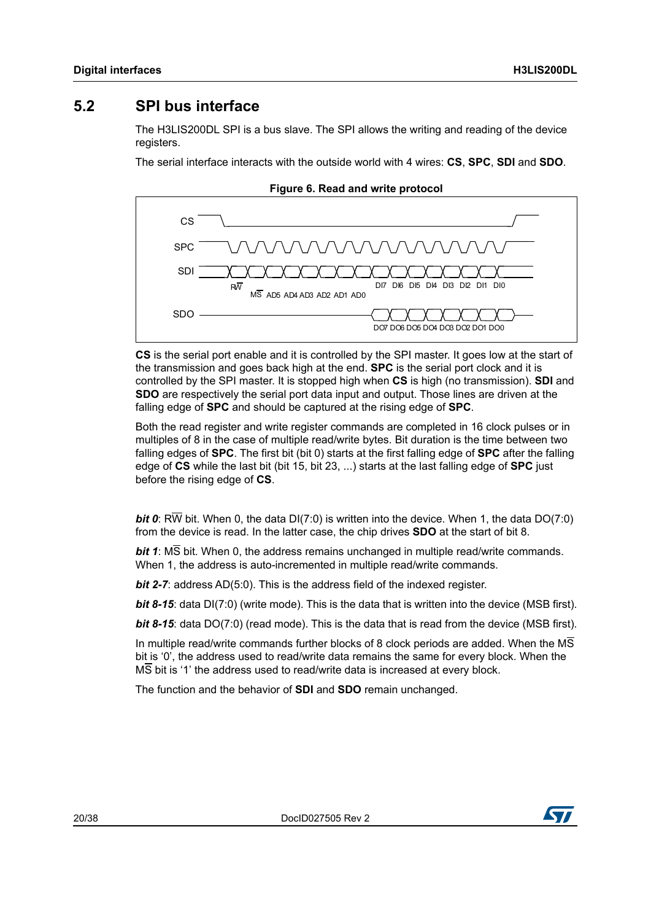### <span id="page-19-0"></span>**5.2 SPI bus interface**

The H3LIS200DL SPI is a bus slave. The SPI allows the writing and reading of the device registers.

The serial interface interacts with the outside world with 4 wires: **CS**, **SPC**, **SDI** and **SDO**.

<span id="page-19-1"></span>

**CS** is the serial port enable and it is controlled by the SPI master. It goes low at the start of the transmission and goes back high at the end. **SPC** is the serial port clock and it is controlled by the SPI master. It is stopped high when **CS** is high (no transmission). **SDI** and **SDO** are respectively the serial port data input and output. Those lines are driven at the falling edge of **SPC** and should be captured at the rising edge of **SPC**.

Both the read register and write register commands are completed in 16 clock pulses or in multiples of 8 in the case of multiple read/write bytes. Bit duration is the time between two falling edges of **SPC**. The first bit (bit 0) starts at the first falling edge of **SPC** after the falling edge of **CS** while the last bit (bit 15, bit 23, ...) starts at the last falling edge of **SPC** just before the rising edge of **CS**.

*bit 0*: RW bit. When 0, the data DI(7:0) is written into the device. When 1, the data DO(7:0) from the device is read. In the latter case, the chip drives **SDO** at the start of bit 8.

*bit 1*: MS bit. When 0, the address remains unchanged in multiple read/write commands. When 1, the address is auto-incremented in multiple read/write commands.

*bit 2-7:* address AD(5:0). This is the address field of the indexed register.

*bit 8-15*: data DI(7:0) (write mode). This is the data that is written into the device (MSB first).

*bit 8-15*: data DO(7:0) (read mode). This is the data that is read from the device (MSB first).

In multiple read/write commands further blocks of 8 clock periods are added. When the  $\overline{\text{MS}}$ bit is '0', the address used to read/write data remains the same for every block. When the  $\overline{\text{MS}}$  bit is '1' the address used to read/write data is increased at every block.

The function and the behavior of **SDI** and **SDO** remain unchanged.

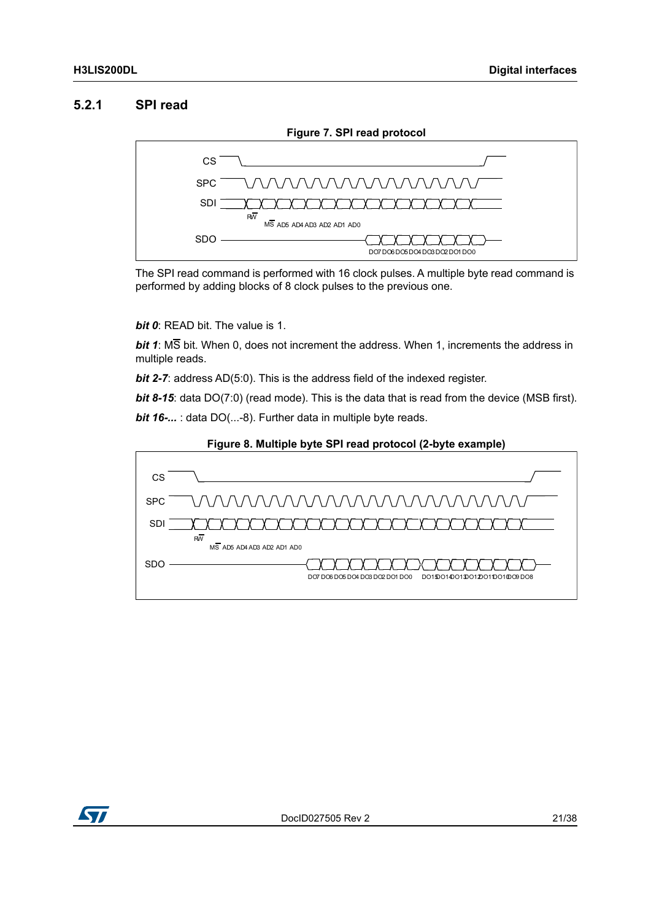### <span id="page-20-0"></span>**5.2.1 SPI read**

<span id="page-20-1"></span>

The SPI read command is performed with 16 clock pulses. A multiple byte read command is performed by adding blocks of 8 clock pulses to the previous one.

*bit 0*: READ bit. The value is 1.

*bit 1*: MS bit. When 0, does not increment the address. When 1, increments the address in multiple reads.

*bit 2-7:* address AD(5:0). This is the address field of the indexed register.

*bit 8-15*: data DO(7:0) (read mode). This is the data that is read from the device (MSB first). *bit 16-...* : data DO(...-8). Further data in multiple byte reads.



<span id="page-20-2"></span>

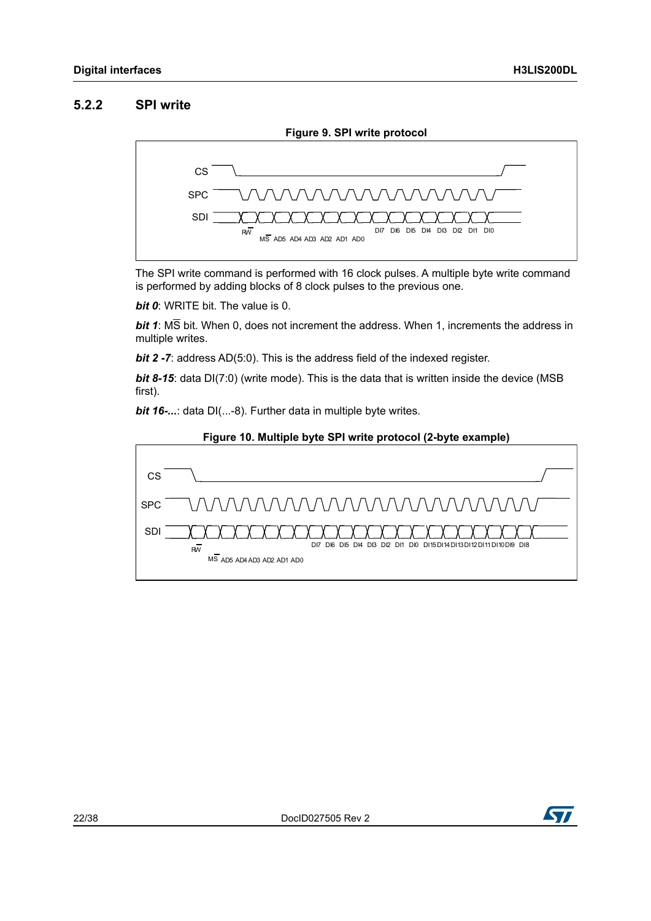### <span id="page-21-0"></span>**5.2.2 SPI write**

<span id="page-21-1"></span>

The SPI write command is performed with 16 clock pulses. A multiple byte write command is performed by adding blocks of 8 clock pulses to the previous one.

*bit 0*: WRITE bit. The value is 0.

*bit 1*: MS bit. When 0, does not increment the address. When 1, increments the address in multiple writes.

*bit 2 -7:* address AD(5:0). This is the address field of the indexed register.

**bit 8-15**: data DI(7:0) (write mode). This is the data that is written inside the device (MSB first).

<span id="page-21-2"></span>*bit 16-...*: data DI(...-8). Further data in multiple byte writes.





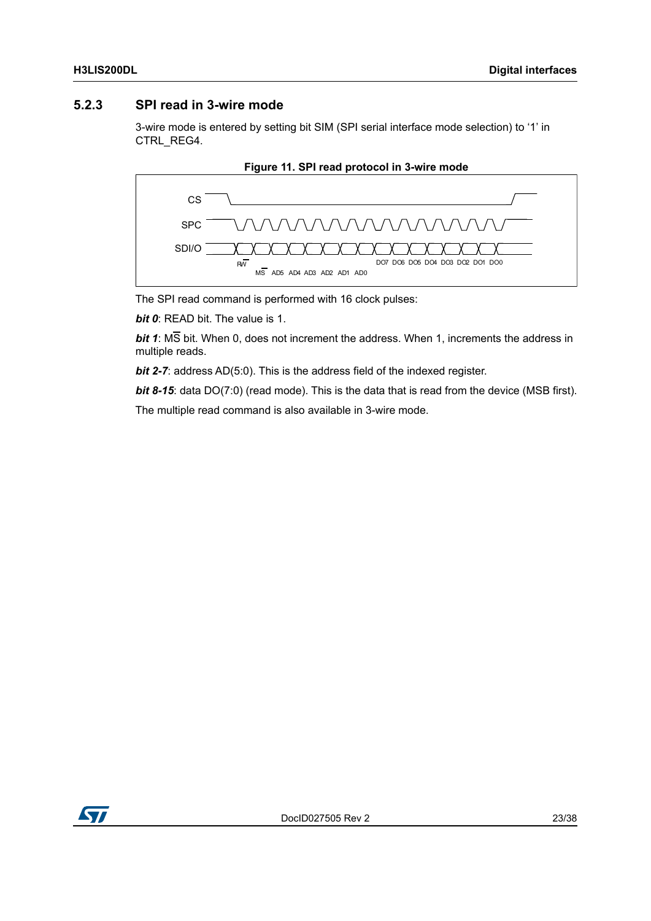### <span id="page-22-0"></span>**5.2.3 SPI read in 3-wire mode**

3-wire mode is entered by setting bit SIM (SPI serial interface mode selection) to '1' in CTRL\_REG4.

<span id="page-22-1"></span>



The SPI read command is performed with 16 clock pulses:

*bit 0*: READ bit. The value is 1.

*bit 1*: MS bit. When 0, does not increment the address. When 1, increments the address in multiple reads.

*bit 2-7:* address AD(5:0). This is the address field of the indexed register.

*bit 8-15*: data DO(7:0) (read mode). This is the data that is read from the device (MSB first).

The multiple read command is also available in 3-wire mode.

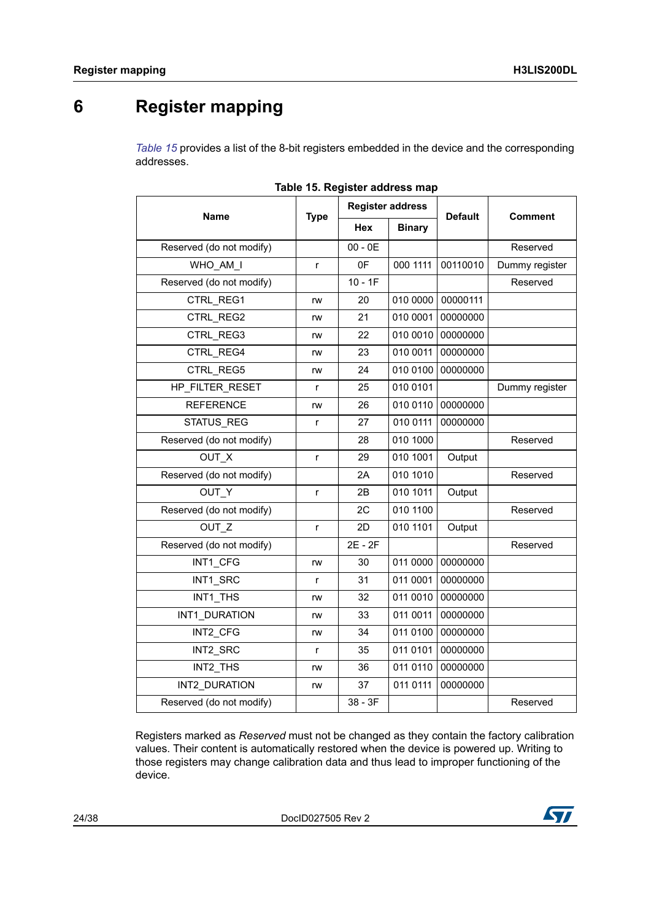## <span id="page-23-0"></span>**6 Register mapping**

*[Table 15](#page-23-1)* provides a list of the 8-bit registers embedded in the device and the corresponding addresses.

<span id="page-23-1"></span>

|                          |              | <b>Register address</b> |               |                |                |  |
|--------------------------|--------------|-------------------------|---------------|----------------|----------------|--|
| <b>Name</b>              | <b>Type</b>  | <b>Hex</b>              | <b>Binary</b> | <b>Default</b> | <b>Comment</b> |  |
| Reserved (do not modify) |              | $00 - 0E$               |               |                | Reserved       |  |
| WHO AM I                 | r            | 0F                      | 000 1111      | 00110010       | Dummy register |  |
| Reserved (do not modify) |              | $10 - 1F$               |               |                | Reserved       |  |
| CTRL REG1                | rw           | 20                      | 010 0000      | 00000111       |                |  |
| CTRL REG2                | rw           | 21                      | 010 0001      | 00000000       |                |  |
| CTRL REG3                | rw           | 22                      | 010 0010      | 00000000       |                |  |
| CTRL REG4                | rw           | 23                      | 010 0011      | 00000000       |                |  |
| CTRL REG5                | rw           | 24                      | 010 0100      | 00000000       |                |  |
| HP FILTER_RESET          | r            | 25                      | 010 0101      |                | Dummy register |  |
| <b>REFERENCE</b>         | rw           | 26                      | 010 0110      | 00000000       |                |  |
| <b>STATUS REG</b>        | r            | 27                      | 010 0111      | 00000000       |                |  |
| Reserved (do not modify) |              | 28                      | 010 1000      |                | Reserved       |  |
| OUT X                    | $\mathsf{r}$ | 29                      | 010 1001      | Output         |                |  |
| Reserved (do not modify) |              | 2A                      | 010 1010      |                | Reserved       |  |
| OUT Y                    | $\mathsf{r}$ | 2В                      | 010 1011      | Output         |                |  |
| Reserved (do not modify) |              | 2C                      | 010 1100      |                | Reserved       |  |
| OUT <sub>Z</sub>         | $\mathsf{r}$ | 2D                      | 010 1101      | Output         |                |  |
| Reserved (do not modify) |              | 2E - 2F                 |               |                | Reserved       |  |
| INT1 CFG                 | rw           | 30                      | 011 0000      | 00000000       |                |  |
| INT1 SRC                 | r            | 31                      | 011 0001      | 00000000       |                |  |
| INT1 THS                 | rw           | 32                      | 011 0010      | 00000000       |                |  |
| INT1 DURATION            | rw           | 33                      | 011 0011      | 00000000       |                |  |
| INT2 CFG                 | rw           | 34                      | 011 0100      | 00000000       |                |  |
| INT2 SRC                 | r            | 35                      | 011 0101      | 00000000       |                |  |
| INT2 THS                 | rw           | 36                      | 011 0110      | 00000000       |                |  |
| INT2 DURATION            | rw           | 37                      | 011 0111      | 00000000       |                |  |
| Reserved (do not modify) |              | 38 - 3F                 |               |                | Reserved       |  |

|  |  | Table 15. Register address map |  |  |
|--|--|--------------------------------|--|--|
|--|--|--------------------------------|--|--|

Registers marked as *Reserved* must not be changed as they contain the factory calibration values. Their content is automatically restored when the device is powered up. Writing to those registers may change calibration data and thus lead to improper functioning of the device.

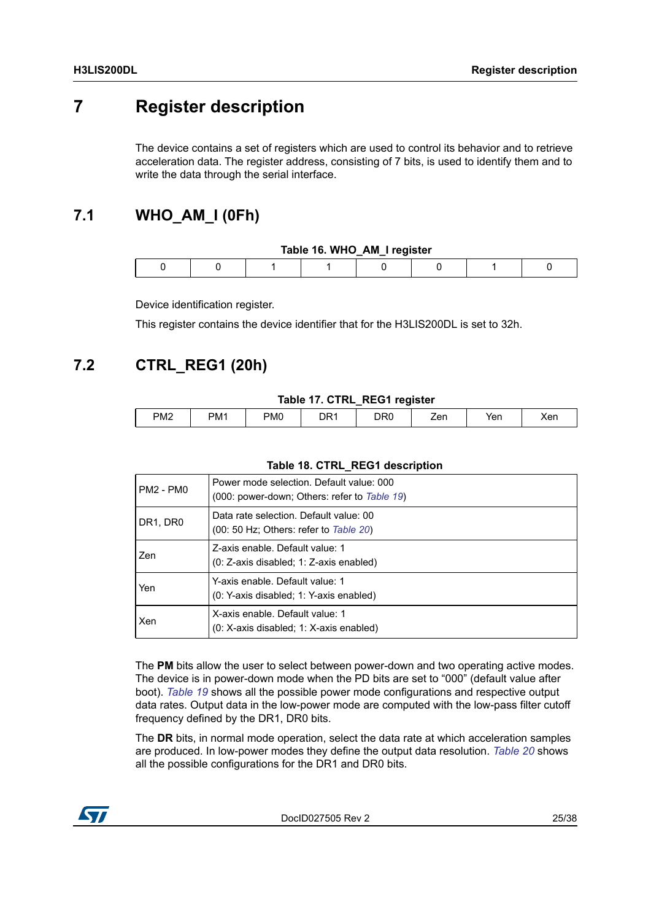## <span id="page-24-0"></span>**7 Register description**

The device contains a set of registers which are used to control its behavior and to retrieve acceleration data. The register address, consisting of 7 bits, is used to identify them and to write the data through the serial interface.

## <span id="page-24-1"></span>**7.1 WHO\_AM\_I (0Fh)**

<span id="page-24-3"></span>

| Table 16. WHO_AM_I register |  |  |  |  |  |  |  |
|-----------------------------|--|--|--|--|--|--|--|
|                             |  |  |  |  |  |  |  |

Device identification register.

This register contains the device identifier that for the H3LIS200DL is set to 32h.

### <span id="page-24-2"></span>**7.2 CTRL\_REG1 (20h)**

#### **Table 17. CTRL\_REG1 register**

<span id="page-24-4"></span>

| PM <sub>2</sub> | PM <sub>1</sub><br>. | PM <sub>0</sub> | `~<br>- 11≓<br>- - - | DRC | 'nΩ<br>∸∽ | Yen | Xen |
|-----------------|----------------------|-----------------|----------------------|-----|-----------|-----|-----|
|                 |                      |                 |                      |     |           |     |     |

#### **Table 18. CTRL\_REG1 description**

<span id="page-24-5"></span>

| I PM2 - PM0 | Power mode selection. Default value: 000<br>(000: power-down; Others: refer to Table 19) |
|-------------|------------------------------------------------------------------------------------------|
| DR1, DR0    | Data rate selection. Default value: 00<br>$(00: 50 Hz;$ Others: refer to Table 20)       |
| Zen         | Z-axis enable. Default value: 1<br>(0: Z-axis disabled; 1: Z-axis enabled)               |
| Yen         | Y-axis enable. Default value: 1<br>(0: Y-axis disabled; 1: Y-axis enabled)               |
| ∣Xen        | X-axis enable. Default value: 1<br>(0: X-axis disabled; 1: X-axis enabled)               |

The **PM** bits allow the user to select between power-down and two operating active modes. The device is in power-down mode when the PD bits are set to "000" (default value after boot). *[Table 19](#page-25-1)* shows all the possible power mode configurations and respective output data rates. Output data in the low-power mode are computed with the low-pass filter cutoff frequency defined by the DR1, DR0 bits.

The **DR** bits, in normal mode operation, select the data rate at which acceleration samples are produced. In low-power modes they define the output data resolution. *[Table 20](#page-25-2)* shows all the possible configurations for the DR1 and DR0 bits.

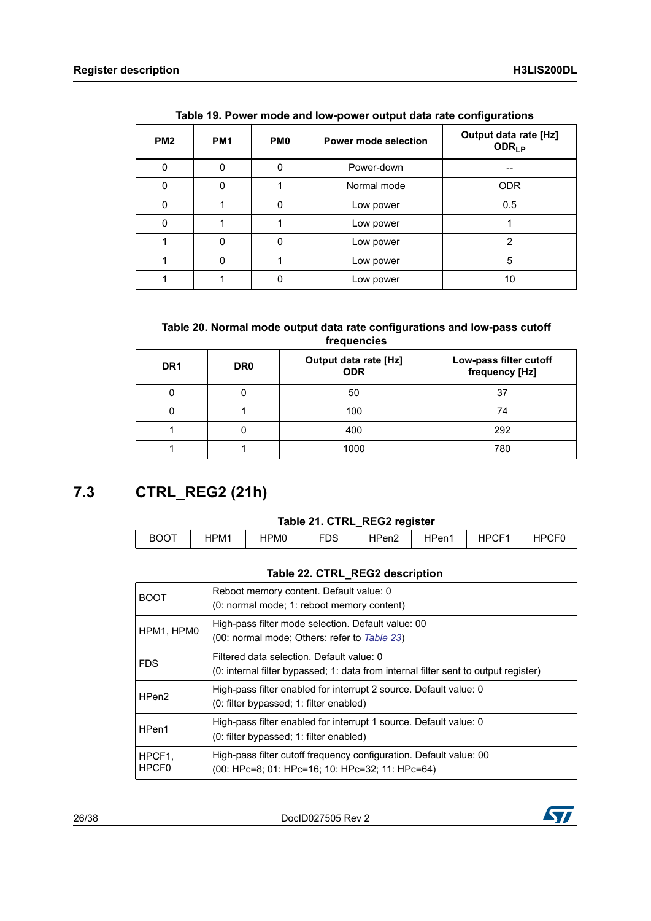<span id="page-25-1"></span>

| PM <sub>2</sub> | PM <sub>1</sub> | PM <sub>0</sub> | <b>Power mode selection</b> | <b>Output data rate [Hz]</b><br><b>ODR<sub>LP</sub></b> |
|-----------------|-----------------|-----------------|-----------------------------|---------------------------------------------------------|
| 0               | 0               | 0               | Power-down                  | --                                                      |
| 0               | 0               |                 | Normal mode                 | <b>ODR</b>                                              |
| $\Omega$        |                 | 0               | Low power                   | 0.5                                                     |
| 0               |                 |                 | Low power                   |                                                         |
|                 | $\mathbf 0$     | 0               | Low power                   | 2                                                       |
|                 | 0               |                 | Low power                   | 5                                                       |
|                 |                 | 0               | Low power                   | 10                                                      |

**Table 19. Power mode and low-power output data rate configurations** 

#### **Table 20. Normal mode output data rate configurations and low-pass cutoff frequencies**

<span id="page-25-2"></span>

| DR <sub>1</sub> | DR <sub>0</sub> | <b>Output data rate [Hz]</b><br><b>ODR</b> | Low-pass filter cutoff<br>frequency [Hz] |
|-----------------|-----------------|--------------------------------------------|------------------------------------------|
|                 |                 | 50                                         | 37                                       |
|                 |                 | 100                                        | 74                                       |
|                 |                 | 400                                        | 292                                      |
|                 |                 | 1000                                       | 780                                      |

## <span id="page-25-0"></span>**7.3 CTRL\_REG2 (21h)**

#### **Table 21. CTRL\_REG2 register**

<span id="page-25-3"></span>

| <b>BOOT</b> | HPM1 | HPM0 | rno<br>טש | HPen2 | HPen <sub>1</sub> | HPCF <sup>1</sup> | カコヘロド |
|-------------|------|------|-----------|-------|-------------------|-------------------|-------|

#### **Table 22. CTRL\_REG2 description**

<span id="page-25-4"></span>

| <b>BOOT</b>     | Reboot memory content. Default value: 0<br>(0: normal mode; 1: reboot memory content)                                            |
|-----------------|----------------------------------------------------------------------------------------------------------------------------------|
| HPM1, HPM0      | High-pass filter mode selection. Default value: 00<br>(00: normal mode; Others: refer to Table 23)                               |
| <b>FDS</b>      | Filtered data selection. Default value: 0<br>(0: internal filter bypassed; 1: data from internal filter sent to output register) |
| HPen2           | High-pass filter enabled for interrupt 2 source. Default value: 0<br>(0: filter bypassed; 1: filter enabled)                     |
| HPen1           | High-pass filter enabled for interrupt 1 source. Default value: 0<br>(0: filter bypassed; 1: filter enabled)                     |
| HPCF1.<br>HPCF0 | High-pass filter cutoff frequency configuration. Default value: 00<br>(00: HPc=8; 01: HPc=16; 10: HPc=32; 11: HPc=64)            |

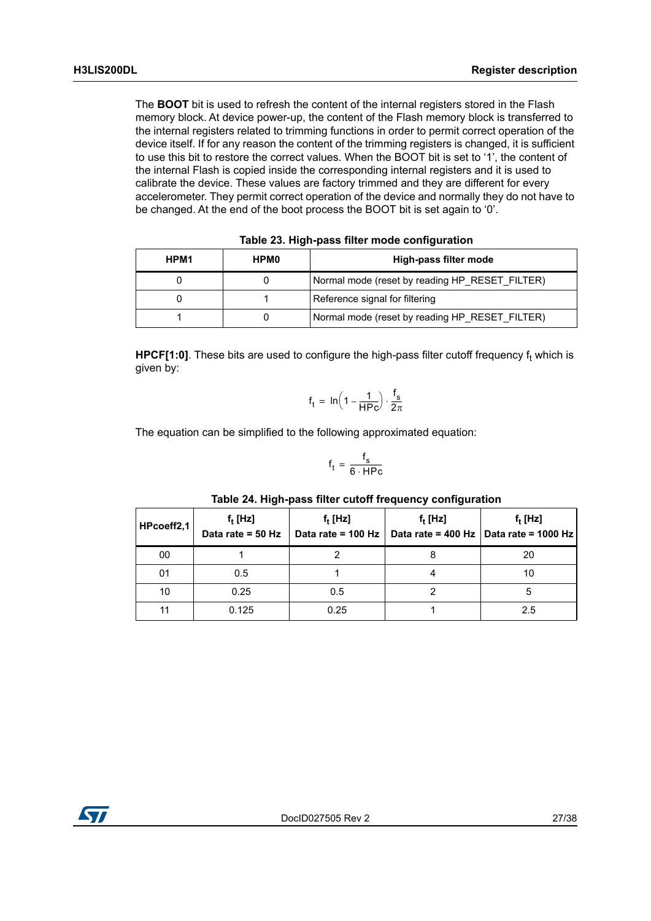The **BOOT** bit is used to refresh the content of the internal registers stored in the Flash memory block. At device power-up, the content of the Flash memory block is transferred to the internal registers related to trimming functions in order to permit correct operation of the device itself. If for any reason the content of the trimming registers is changed, it is sufficient to use this bit to restore the correct values. When the BOOT bit is set to '1', the content of the internal Flash is copied inside the corresponding internal registers and it is used to calibrate the device. These values are factory trimmed and they are different for every accelerometer. They permit correct operation of the device and normally they do not have to be changed. At the end of the boot process the BOOT bit is set again to '0'.

<span id="page-26-0"></span>

| HPM1 | <b>HPM0</b> | High-pass filter mode                          |  |  |  |  |
|------|-------------|------------------------------------------------|--|--|--|--|
|      |             | Normal mode (reset by reading HP RESET FILTER) |  |  |  |  |
|      |             | Reference signal for filtering                 |  |  |  |  |
|      |             | Normal mode (reset by reading HP_RESET_FILTER) |  |  |  |  |

HPCF[1:0]. These bits are used to configure the high-pass filter cutoff frequency f<sub>t</sub> which is given by:

$$
f_t = \, ln \Big( 1 - \frac{1}{H P c} \Big) \cdot \frac{f_s}{2 \pi}
$$

The equation can be simplified to the following approximated equation:

$$
f_t = \frac{f_s}{6 \cdot \text{HPC}}
$$

<span id="page-26-1"></span>

| HPcoeff2,1 | $f_t$ [Hz]<br>Data rate = $50$ Hz | $f_t$ [Hz]<br>Data rate = 100 Hz | $f_t$ [Hz] | $f_t$ [Hz]<br>Data rate = 400 Hz $\vert$ Data rate = 1000 Hz |
|------------|-----------------------------------|----------------------------------|------------|--------------------------------------------------------------|
| 00         |                                   |                                  | 8          | 20                                                           |
| 01         | 0.5                               |                                  |            | 10                                                           |
| 10         | 0.25                              | 0.5                              |            | 5                                                            |
| 44         | 0.125                             | 0.25                             |            | 2.5                                                          |

#### **Table 24. High-pass filter cutoff frequency configuration**

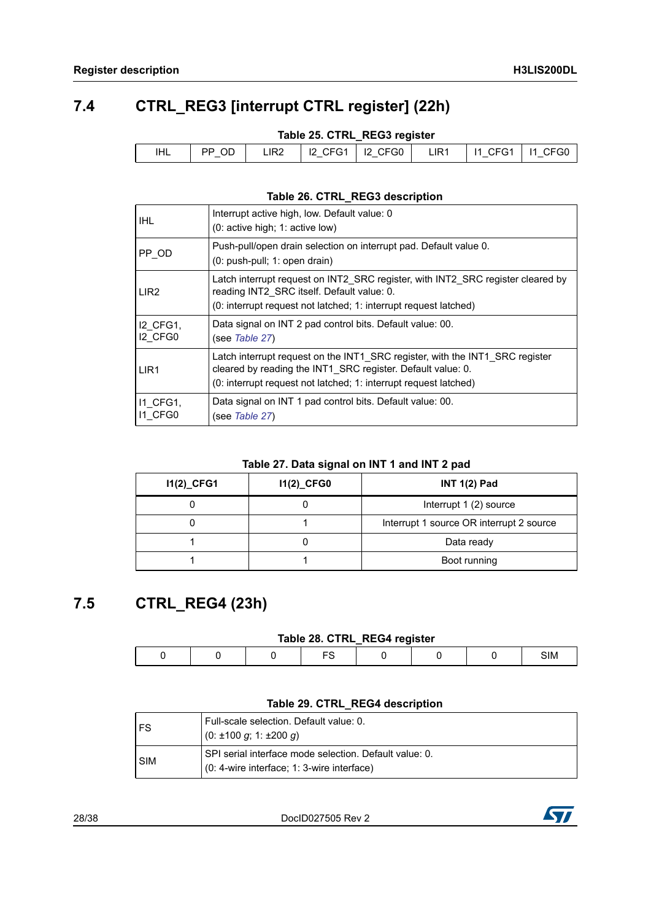## <span id="page-27-0"></span>**7.4 CTRL\_REG3 [interrupt CTRL register] (22h)**

#### **Table 25. CTRL\_REG3 register**

<span id="page-27-2"></span>

| 12 CFG1   12 CFG0  <br>$\vert$ 11 CFG1 $\vert$<br>PP OD<br>11 CFG0<br>LIR <sub>1</sub><br>LIR2<br>IHL |
|-------------------------------------------------------------------------------------------------------|
|-------------------------------------------------------------------------------------------------------|

#### **Table 26. CTRL\_REG3 description**

<span id="page-27-3"></span>

| <b>IHL</b>                 | Interrupt active high, low. Default value: 0<br>(0: active high: 1: active low)                                                                                                                                 |
|----------------------------|-----------------------------------------------------------------------------------------------------------------------------------------------------------------------------------------------------------------|
| PP OD                      | Push-pull/open drain selection on interrupt pad. Default value 0.<br>(0: push-pull; 1: open drain)                                                                                                              |
| LIR <sub>2</sub>           | Latch interrupt request on INT2 SRC register, with INT2 SRC register cleared by<br>reading INT2 SRC itself. Default value: 0.<br>(0: interrupt request not latched; 1: interrupt request latched)               |
| <b>I2 CFG1.</b><br>I2 CFG0 | Data signal on INT 2 pad control bits. Default value: 00.<br>(see <i>Table 27</i> )                                                                                                                             |
| LIR <sub>1</sub>           | Latch interrupt request on the INT1 SRC register, with the INT1 SRC register<br>cleared by reading the INT1_SRC register. Default value: 0.<br>(0: interrupt request not latched; 1: interrupt request latched) |
| 11 CFG1,<br>I1 CFG0        | Data signal on INT 1 pad control bits. Default value: 00.<br>(see Table 27)                                                                                                                                     |

#### **Table 27. Data signal on INT 1 and INT 2 pad**

<span id="page-27-4"></span>

| $11(2)$ <sub>CFG1</sub> | 11(2)_CFG0 | <b>INT 1(2) Pad</b>                      |
|-------------------------|------------|------------------------------------------|
|                         |            | Interrupt 1 (2) source                   |
|                         |            | Interrupt 1 source OR interrupt 2 source |
|                         |            | Data ready                               |
|                         |            | Boot running                             |

### <span id="page-27-1"></span>**7.5 CTRL\_REG4 (23h)**

#### **Table 28. CTRL\_REG4 register**

<span id="page-27-5"></span>

|  |  | - - - | ---- |     |
|--|--|-------|------|-----|
|  |  |       |      | SIM |

#### **Table 29. CTRL\_REG4 description**

<span id="page-27-6"></span>

| l FS       | Full-scale selection. Default value: 0.                |
|------------|--------------------------------------------------------|
|            | l (0: ±100 <i>q</i> : 1: ±200 <i>q</i> )               |
| <b>SIM</b> | SPI serial interface mode selection. Default value: 0. |
|            | (0: 4-wire interface: 1: 3-wire interface)             |

28/38 DocID027505 Rev 2

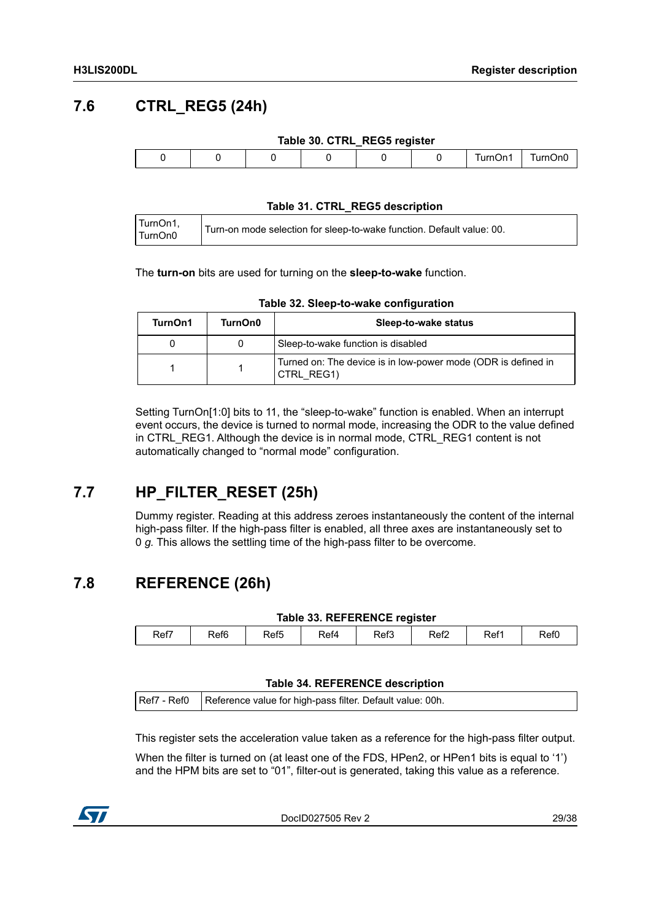## <span id="page-28-0"></span>**7.6 CTRL\_REG5 (24h)**

<span id="page-28-3"></span>

|  |  | Table 30. CTRL_REG5 register |         |         |
|--|--|------------------------------|---------|---------|
|  |  |                              | TurnOn1 | TurnOn0 |

#### **Table 31. CTRL\_REG5 description**

<span id="page-28-4"></span>

| TurnOn1, | Turn-on mode selection for sleep-to-wake function. Default value: 00. |
|----------|-----------------------------------------------------------------------|
| TurnOn0  |                                                                       |

The **turn-on** bits are used for turning on the **sleep-to-wake** function.

<span id="page-28-5"></span>

| TurnOn1 | TurnOn0 | Sleep-to-wake status                                                        |
|---------|---------|-----------------------------------------------------------------------------|
|         |         | Sleep-to-wake function is disabled                                          |
|         |         | Turned on: The device is in low-power mode (ODR is defined in<br>CTRL REG1) |

#### **Table 32. Sleep-to-wake configuration**

Setting TurnOn[1:0] bits to 11, the "sleep-to-wake" function is enabled. When an interrupt event occurs, the device is turned to normal mode, increasing the ODR to the value defined in CTRL\_REG1. Although the device is in normal mode, CTRL\_REG1 content is not automatically changed to "normal mode" configuration.

## <span id="page-28-1"></span>**7.7 HP\_FILTER\_RESET (25h)**

Dummy register. Reading at this address zeroes instantaneously the content of the internal high-pass filter. If the high-pass filter is enabled, all three axes are instantaneously set to 0 *g.* This allows the settling time of the high-pass filter to be overcome.

### <span id="page-28-2"></span>**7.8 REFERENCE (26h)**

#### **Table 33. REFERENCE register**

<span id="page-28-6"></span>

| Ref7 | Ref <sub>6</sub> | Ref <sub>5</sub> | Ref4 | Ref3 | Ref2 | Ref1 | Ref0 |
|------|------------------|------------------|------|------|------|------|------|
|      |                  |                  |      |      |      |      |      |

#### **Table 34. REFERENCE description**

<span id="page-28-7"></span>

|  | Ref7 - Ref0 Reference value for high-pass filter. Default value: 00h. |
|--|-----------------------------------------------------------------------|
|--|-----------------------------------------------------------------------|

This register sets the acceleration value taken as a reference for the high-pass filter output.

When the filter is turned on (at least one of the FDS, HPen2, or HPen1 bits is equal to '1') and the HPM bits are set to "01", filter-out is generated, taking this value as a reference.



DocID027505 Rev 2 29/38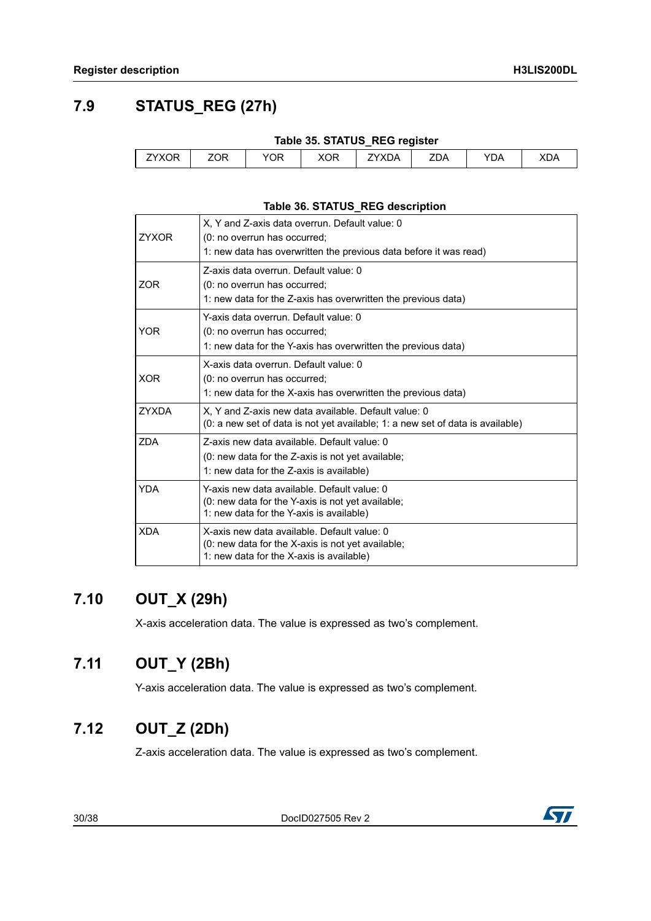$\int$ 

## <span id="page-29-0"></span>**7.9 STATUS\_REG (27h)**

<span id="page-29-4"></span>

|              |     |     |     | Table 35. STATUS_REG register |     |     |     |
|--------------|-----|-----|-----|-------------------------------|-----|-----|-----|
| <b>ZYXOR</b> | ZOR | YOR | XOR | <b>ZYXDA</b>                  | ZDA | YDA | XDA |

#### **Table 36. STATUS\_REG description**

<span id="page-29-5"></span>

| <b>ZYXOR</b> | X, Y and Z-axis data overrun. Default value: 0<br>(0: no overrun has occurred;<br>1: new data has overwritten the previous data before it was read) |
|--------------|-----------------------------------------------------------------------------------------------------------------------------------------------------|
| ZOR          | Z-axis data overrun. Default value: 0<br>(0: no overrun has occurred;<br>1: new data for the Z-axis has overwritten the previous data)              |
| <b>YOR</b>   | Y-axis data overrun. Default value: 0<br>(0: no overrun has occurred;<br>1: new data for the Y-axis has overwritten the previous data)              |
| <b>XOR</b>   | X-axis data overrun. Default value: 0<br>(0: no overrun has occurred;<br>1: new data for the X-axis has overwritten the previous data)              |
| <b>ZYXDA</b> | X, Y and Z-axis new data available. Default value: 0<br>(0: a new set of data is not yet available; 1: a new set of data is available)              |
| <b>ZDA</b>   | Z-axis new data available. Default value: 0<br>(0: new data for the Z-axis is not yet available;<br>1: new data for the Z-axis is available)        |
| <b>YDA</b>   | Y-axis new data available. Default value: 0<br>(0: new data for the Y-axis is not yet available;<br>1: new data for the Y-axis is available)        |
| <b>XDA</b>   | X-axis new data available. Default value: 0<br>(0: new data for the X-axis is not yet available;<br>1: new data for the X-axis is available)        |

## <span id="page-29-1"></span>**7.10 OUT\_X (29h)**

X-axis acceleration data. The value is expressed as two's complement.

### <span id="page-29-2"></span>**7.11 OUT\_Y (2Bh)**

Y-axis acceleration data. The value is expressed as two's complement.

## <span id="page-29-3"></span>**7.12 OUT\_Z (2Dh)**

Z-axis acceleration data. The value is expressed as two's complement.

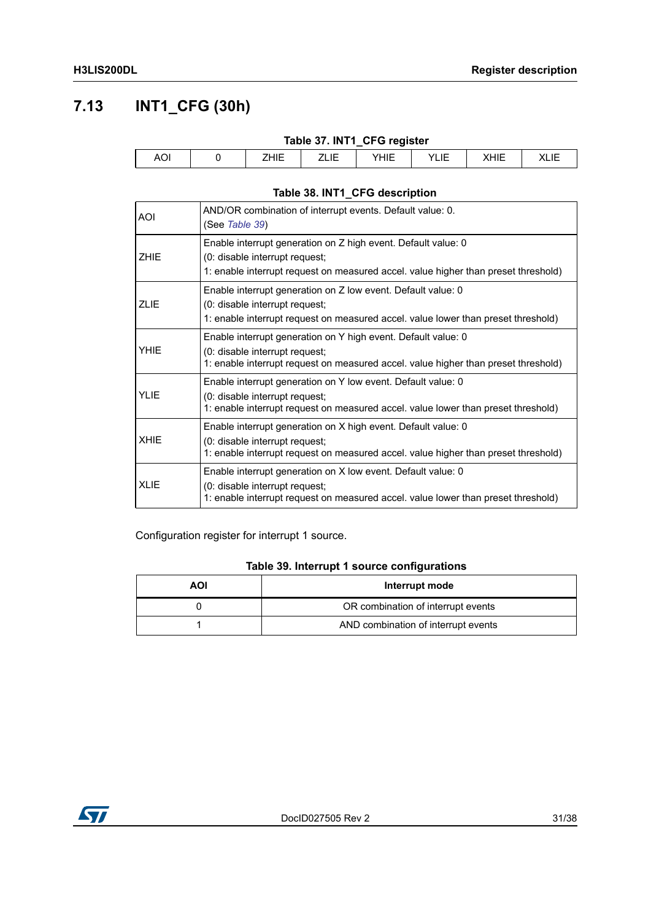## <span id="page-30-0"></span>**7.13 INT1\_CFG (30h)**

<span id="page-30-1"></span>

| Table 37. INT1_CFG register |  |      |  |      |      |      |             |  |  |
|-----------------------------|--|------|--|------|------|------|-------------|--|--|
| AOI                         |  | ZHIE |  | YHIE | YLIE | XHIE | <b>XLIL</b> |  |  |

### **Table 38. INT1\_CFG description**

<span id="page-30-2"></span>

| AOI.        | AND/OR combination of interrupt events. Default value: 0.<br>(See Table 39)                                                                                                           |
|-------------|---------------------------------------------------------------------------------------------------------------------------------------------------------------------------------------|
| <b>ZHIE</b> | Enable interrupt generation on Z high event. Default value: 0<br>(0: disable interrupt request;<br>1: enable interrupt request on measured accel. value higher than preset threshold) |
| <b>ZLIE</b> | Enable interrupt generation on Z low event. Default value: 0<br>(0: disable interrupt request;<br>1: enable interrupt request on measured accel. value lower than preset threshold)   |
| <b>YHIE</b> | Enable interrupt generation on Y high event. Default value: 0<br>(0: disable interrupt request;<br>1: enable interrupt request on measured accel. value higher than preset threshold) |
| <b>YLIE</b> | Enable interrupt generation on Y low event. Default value: 0<br>(0: disable interrupt request;<br>1: enable interrupt request on measured accel. value lower than preset threshold)   |
| <b>XHIE</b> | Enable interrupt generation on X high event. Default value: 0<br>(0: disable interrupt request;<br>1: enable interrupt request on measured accel. value higher than preset threshold) |
| <b>XLIE</b> | Enable interrupt generation on X low event. Default value: 0<br>(0: disable interrupt request;<br>1: enable interrupt request on measured accel. value lower than preset threshold)   |

Configuration register for interrupt 1 source.

#### **Table 39. Interrupt 1 source configurations**

<span id="page-30-3"></span>

| AOI | Interrupt mode                      |  |  |  |
|-----|-------------------------------------|--|--|--|
|     | OR combination of interrupt events  |  |  |  |
|     | AND combination of interrupt events |  |  |  |

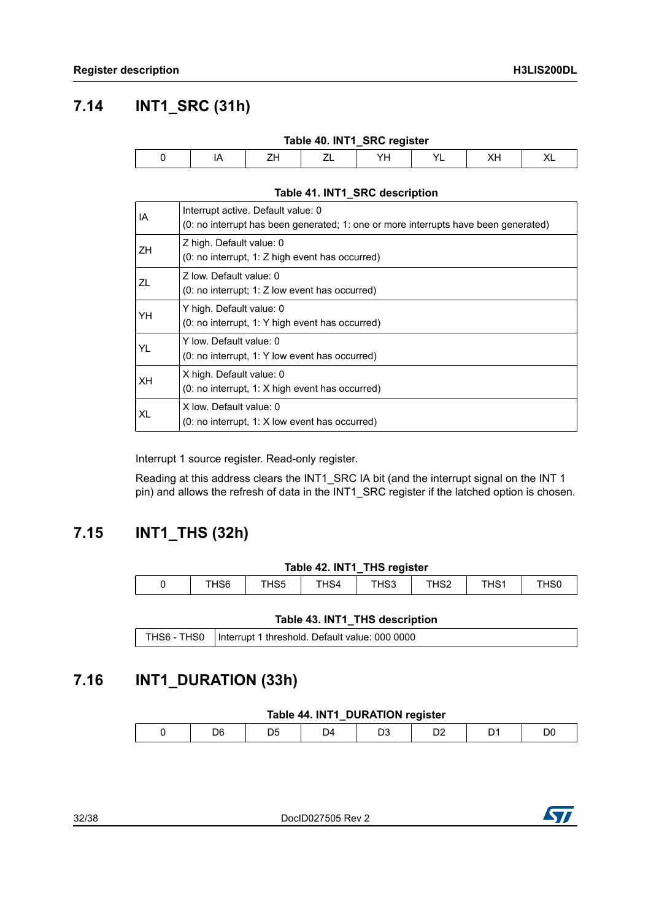### <span id="page-31-0"></span>**7.14 INT1\_SRC (31h)**

<span id="page-31-3"></span>

| Table 40. INT1_SRC register |  |  |         |  |  |  |    |  |  |  |
|-----------------------------|--|--|---------|--|--|--|----|--|--|--|
|                             |  |  | –,<br>ᅩ |  |  |  | ୵⊾ |  |  |  |

#### **Table 41. INT1\_SRC description**

<span id="page-31-4"></span>

| IA        | Interrupt active. Default value: 0<br>(0: no interrupt has been generated; 1: one or more interrupts have been generated) |
|-----------|---------------------------------------------------------------------------------------------------------------------------|
| <b>ZH</b> | Z high. Default value: 0<br>$(0: no$ interrupt, 1: Z high event has occurred)                                             |
| ZL        | 7 low. Default value: 0<br>(0: no interrupt; 1: Z low event has occurred)                                                 |
| YH        | Y high. Default value: 0<br>(0: no interrupt, 1: Y high event has occurred)                                               |
| YL        | Y low. Default value: 0<br>(0: no interrupt, 1: Y low event has occurred)                                                 |
| XH        | X high. Default value: 0<br>(0: no interrupt, 1: X high event has occurred)                                               |
| XL        | X low. Default value: 0<br>$(0: no$ interrupt, 1: X low event has occurred)                                               |

Interrupt 1 source register. Read-only register.

Reading at this address clears the INT1\_SRC IA bit (and the interrupt signal on the INT 1 pin) and allows the refresh of data in the INT1\_SRC register if the latched option is chosen.

### <span id="page-31-1"></span>**7.15 INT1\_THS (32h)**

#### **Table 42. INT1\_THS register**

<span id="page-31-5"></span>

| THS <sub>6</sub> | THS5 | THS4 | THS3 | THS <sub>2</sub> | THS <sub>1</sub> | THS <sub>0</sub> |
|------------------|------|------|------|------------------|------------------|------------------|

#### **Table 43. INT1\_THS description**

<span id="page-31-6"></span>THS6 - THS0 | Interrupt 1 threshold. Default value: 000 0000

### <span id="page-31-2"></span>**7.16 INT1\_DURATION (33h)**

#### **Table 44. INT1\_DURATION register**

<span id="page-31-7"></span>

|  | ነF |  | ۱4 |  |  |  |  |
|--|----|--|----|--|--|--|--|
|--|----|--|----|--|--|--|--|

32/38 DocID027505 Rev 2

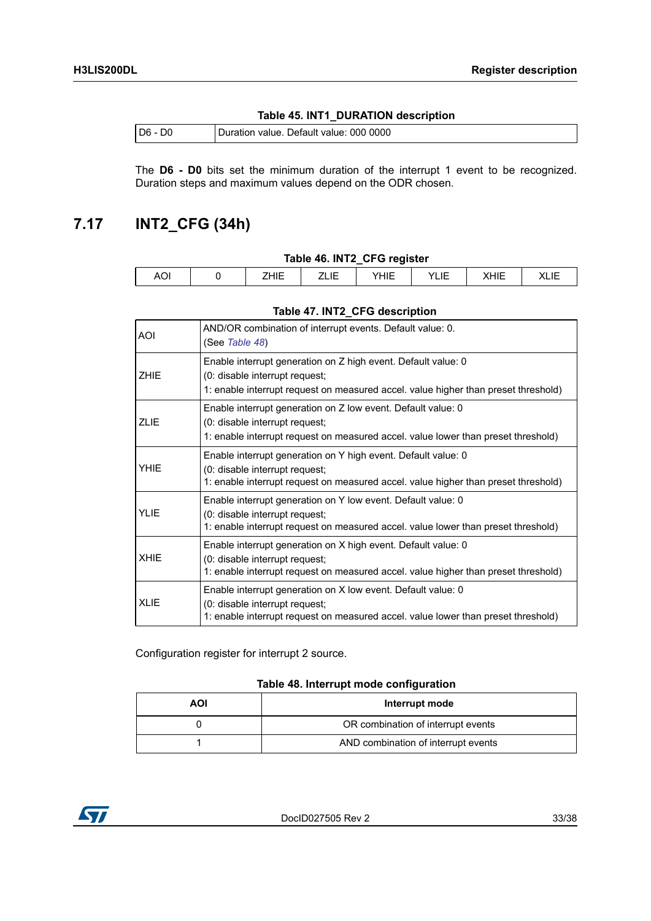#### **Table 45. INT1\_DURATION description**

<span id="page-32-1"></span>

| $DG - 1$<br>D0. | Duration value. Default value: 000 0000 |
|-----------------|-----------------------------------------|
|                 |                                         |

The **D6 - D0** bits set the minimum duration of the interrupt 1 event to be recognized. Duration steps and maximum values depend on the ODR chosen.

### <span id="page-32-0"></span>**7.17 INT2\_CFG (34h)**

#### **Table 46. INT2\_CFG register**

<span id="page-32-2"></span>

|                           |                            |     | __<br>__     |                   |                                         |      |  |
|---------------------------|----------------------------|-----|--------------|-------------------|-----------------------------------------|------|--|
| $\sim$<br>AO <sub>1</sub> | $\cdot$ . $-$<br>.<br>____ | . . | 1.1.7<br>HIE | $\cdot$ $-$<br>-- | $\blacksquare$<br>$\cdots$<br>---<br>`` | ``-' |  |
|                           |                            |     |              |                   |                                         |      |  |

#### **Table 47. INT2\_CFG description**

<span id="page-32-3"></span>

| <b>AOI</b>  | AND/OR combination of interrupt events. Default value: 0.<br>(See Table 48)                                                                                                           |
|-------------|---------------------------------------------------------------------------------------------------------------------------------------------------------------------------------------|
| <b>ZHIE</b> | Enable interrupt generation on Z high event. Default value: 0<br>(0: disable interrupt request;<br>1: enable interrupt request on measured accel. value higher than preset threshold) |
| <b>ZLIE</b> | Enable interrupt generation on Z low event. Default value: 0<br>(0: disable interrupt request;<br>1: enable interrupt request on measured accel. value lower than preset threshold)   |
| YHIE        | Enable interrupt generation on Y high event. Default value: 0<br>(0: disable interrupt request;<br>1: enable interrupt request on measured accel. value higher than preset threshold) |
| <b>YLIE</b> | Enable interrupt generation on Y low event. Default value: 0<br>(0: disable interrupt request;<br>1: enable interrupt request on measured accel. value lower than preset threshold)   |
| <b>XHIE</b> | Enable interrupt generation on X high event. Default value: 0<br>(0: disable interrupt request;<br>1: enable interrupt request on measured accel. value higher than preset threshold) |
| <b>XLIE</b> | Enable interrupt generation on X low event. Default value: 0<br>(0: disable interrupt request;<br>1: enable interrupt request on measured accel. value lower than preset threshold)   |

Configuration register for interrupt 2 source.

#### **Table 48. Interrupt mode configuration**

<span id="page-32-4"></span>

| AOI<br>Interrupt mode |                                     |  |  |  |
|-----------------------|-------------------------------------|--|--|--|
|                       | OR combination of interrupt events  |  |  |  |
|                       | AND combination of interrupt events |  |  |  |

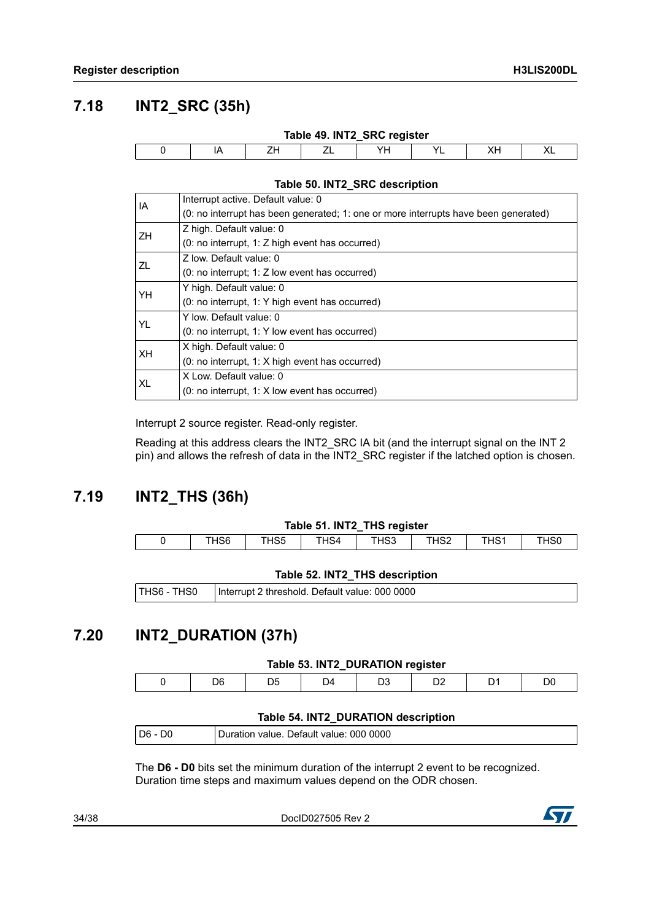### <span id="page-33-0"></span>**7.18 INT2\_SRC (35h)**

<span id="page-33-3"></span>

| Table 49. INT2_SRC register |    |    |  |    |  |     |    |  |  |
|-----------------------------|----|----|--|----|--|-----|----|--|--|
|                             | IA | 7. |  | VH |  | VL. | ◠∟ |  |  |

#### **Table 50. INT2\_SRC description**

<span id="page-33-4"></span>

| IA  | Interrupt active. Default value: 0                                                  |
|-----|-------------------------------------------------------------------------------------|
|     | (0: no interrupt has been generated; 1: one or more interrupts have been generated) |
| ZH. | Z high. Default value: 0                                                            |
|     | (0: no interrupt, 1: Z high event has occurred)                                     |
| ZL  | Z low. Default value: 0                                                             |
|     | $(0: no$ interrupt: 1: Z low event has occurred)                                    |
| YH  | Y high. Default value: 0                                                            |
|     | (0: no interrupt, 1: Y high event has occurred)                                     |
| YL  | Y low. Default value: 0                                                             |
|     | (0: no interrupt, 1: Y low event has occurred)                                      |
| XH  | X high. Default value: 0                                                            |
|     | $(0: no$ interrupt, 1: X high event has occurred)                                   |
| XL  | X Low. Default value: 0                                                             |
|     | $(0: no$ interrupt, 1: X low event has occurred)                                    |

Interrupt 2 source register. Read-only register.

Reading at this address clears the INT2\_SRC IA bit (and the interrupt signal on the INT 2 pin) and allows the refresh of data in the INT2\_SRC register if the latched option is chosen.

### <span id="page-33-1"></span>**7.19 INT2\_THS (36h)**

<span id="page-33-5"></span>

|                  |      |      | Table 51. INT2_THS register |      |      |      |
|------------------|------|------|-----------------------------|------|------|------|
| THS <sub>6</sub> | THS5 | THS4 | THS3                        | THS2 | THS1 | THS0 |

#### **Table 52. INT2\_THS description**

<span id="page-33-6"></span>

| THS6 - THS0   Interrupt 2 threshold. Default value: 000 0000 |
|--------------------------------------------------------------|
|                                                              |

### <span id="page-33-2"></span>**7.20 INT2\_DURATION (37h)**

#### **Table 53. INT2\_DURATION register**

<span id="page-33-7"></span>

|  | 16 |  |  |  |  |
|--|----|--|--|--|--|
|  |    |  |  |  |  |

#### **Table 54. INT2\_DURATION description**

<span id="page-33-8"></span>

| $ D6 - D0$ | Duration value. Default value: 000 0000 |
|------------|-----------------------------------------|
|            |                                         |

The **D6 - D0** bits set the minimum duration of the interrupt 2 event to be recognized. Duration time steps and maximum values depend on the ODR chosen.

34/38 DocID027505 Rev 2

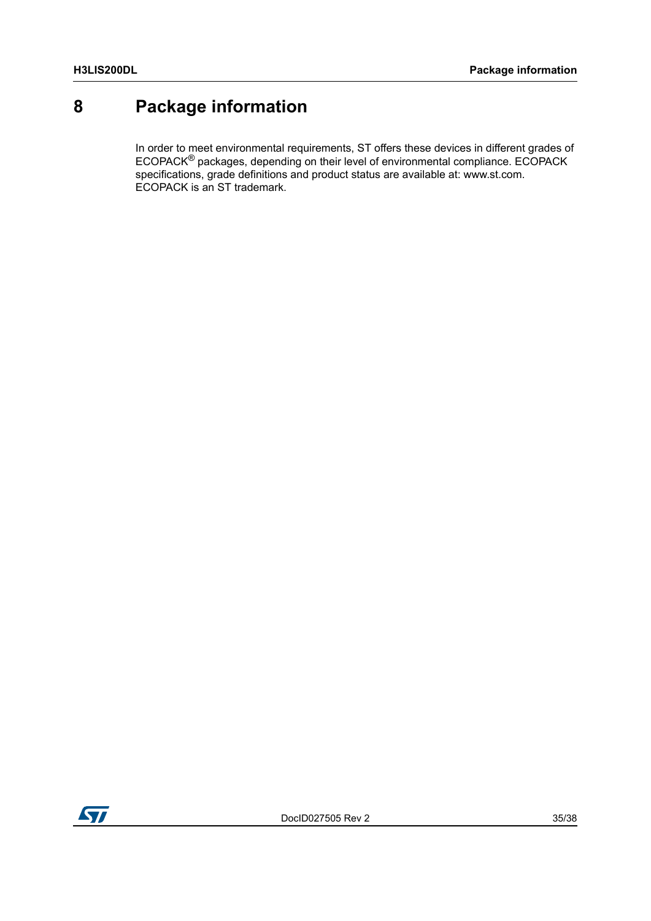# <span id="page-34-0"></span>**8 Package information**

In order to meet environmental requirements, ST offers these devices in different grades of  $ECOPACK^{\circledS}$  packages, depending on their level of environmental compliance.  $ECOPACK$ specifications, grade definitions and product status are available at: www.st.com. ECOPACK is an ST trademark.

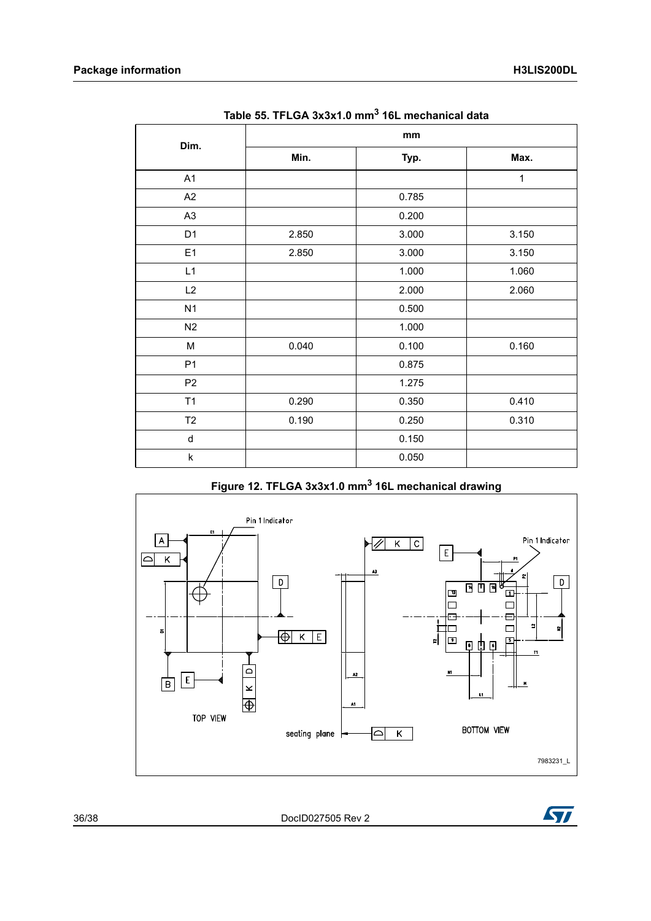<span id="page-35-0"></span>

| Dim.           | mm    |       |              |  |  |  |
|----------------|-------|-------|--------------|--|--|--|
|                | Min.  | Typ.  | Max.         |  |  |  |
| A1             |       |       | $\mathbf{1}$ |  |  |  |
| A2             |       | 0.785 |              |  |  |  |
| A <sub>3</sub> |       | 0.200 |              |  |  |  |
| D <sub>1</sub> | 2.850 | 3.000 | 3.150        |  |  |  |
| E <sub>1</sub> | 2.850 | 3.000 | 3.150        |  |  |  |
| L1             |       | 1.000 | 1.060        |  |  |  |
| L2             |       | 2.000 | 2.060        |  |  |  |
| N <sub>1</sub> |       | 0.500 |              |  |  |  |
| N2             |       | 1.000 |              |  |  |  |
| M              | 0.040 | 0.100 | 0.160        |  |  |  |
| P <sub>1</sub> |       | 0.875 |              |  |  |  |
| P <sub>2</sub> |       | 1.275 |              |  |  |  |
| T1             | 0.290 | 0.350 | 0.410        |  |  |  |
| T <sub>2</sub> | 0.190 | 0.250 | 0.310        |  |  |  |
| d              |       | 0.150 |              |  |  |  |
| $\sf k$        |       | 0.050 |              |  |  |  |

### **Figure 12. TFLGA 3x3x1.0 mm3 16L mechanical drawing**

<span id="page-35-1"></span>



36/38 DocID027505 Rev 2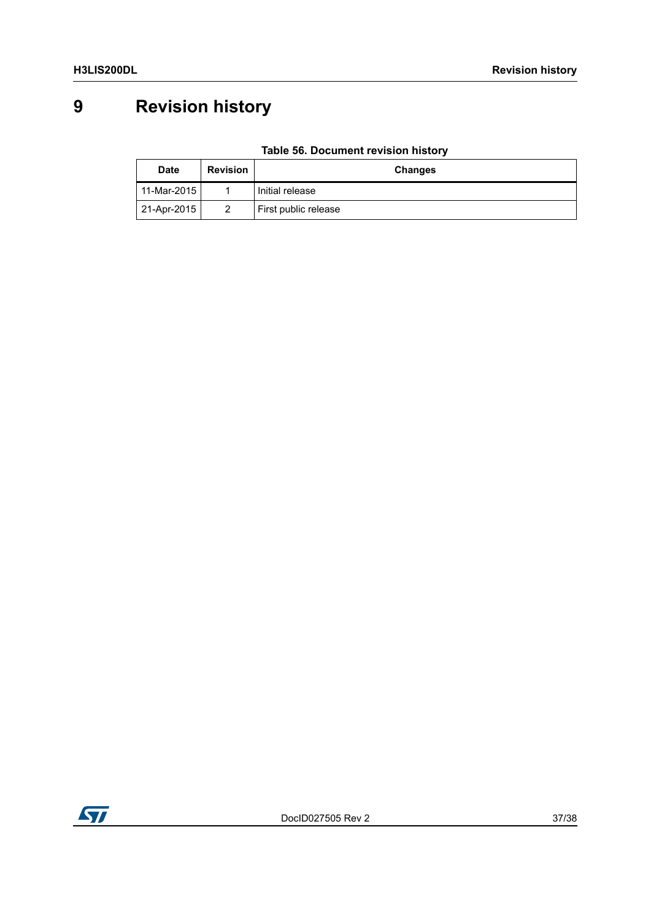# <span id="page-36-0"></span>**9 Revision history**

### **Table 56. Document revision history**

<span id="page-36-1"></span>

| <b>Date</b> | <b>Revision</b> | <b>Changes</b>       |  |
|-------------|-----------------|----------------------|--|
| 11-Mar-2015 |                 | Initial release      |  |
| 21-Apr-2015 | 2               | First public release |  |